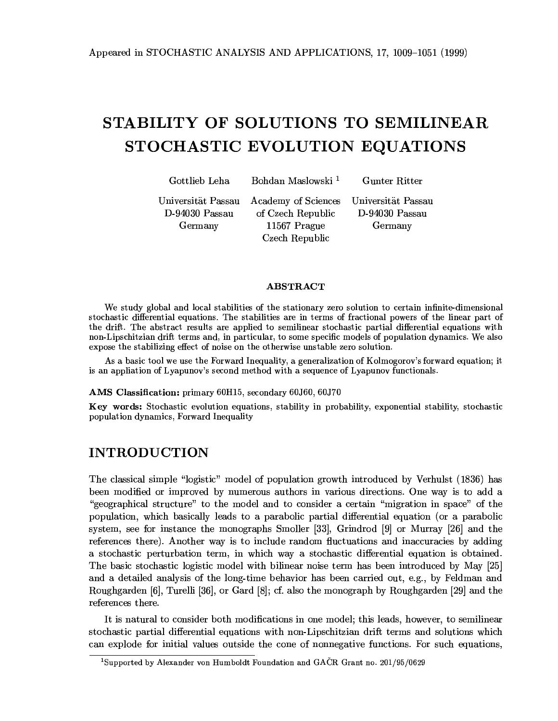## STABILITY OF SOLUTIONS TO SEMILINEAR. STOCHASTIC EVOLUTION EQUATIONS

./001-2-

Bohdan Maslowski<sup>1</sup>

 $\sim$  Dillam

<=-60>066: ?-@A/B?-?-D-94030 Passau Germany

of Czech Republic  $11567$  Prague  $\sim$  1  $\sim$  11?

 $\mathbf{r}$  for  $\mathbf{r}$  and  $\mathbf{r}$  and  $\mathbf{r}$ D-94030 Passau  $\bigcap$  and  $\bigcap$  and  $\bigcap$ 

## **ABSTRACT**

We study global and local stabilities of the stationary zero solution to certain infinite-dimensional stochastic differential equations. The stabilities are in terms of fractional powers of the linear part of the drift. The abstract results are applied to semilinear stochastic partial differential equations with non-Lipschitzian drift terms and in particular, to some specific models of population dynamics. We also expose the stabilizing effect of noise on the otherwise unstable zero solution.

As a basic tool we use the Forward Inequality, a generalization of Kolmogorov's forward equation; it is an appliation of Lyapunov's second method with a sequence of Lyapunov functionals.

### $\Delta$ MS Classification: primary 60H15 secondary 60J60 60J70

Key words: Stochastic evolution equations, stability in probability, exponential stability, stochastic population dynamics, Forward Inequality

## **INTRODUCTION**

The classical simple "logistic" model of population growth introduced by Verbulst (1836) has been modified or improved by numerous authors in various directions. One way is to add a H-/H3?1 60:?0:-0/03-@/-10/?/6-?-0@H0/6?-/B 03nopulation, which basically leads to a parabolic partial differential equation (or a parabolic system see for instance the monographs Smoller  $[33]$  Grindrod  $[9]$  or Murray  $[26]$  and the references there) Another way is to include random fluctuations and inaccuracies by adding a stochastic perturbation term, in which way a stochastic differential equation is obtained 3-26?60/?360?1/H60?@/-170321-/6-0-@362--0/:?-2A5A and a detailed analysis of the long-time behavior has been carried out  $\epsilon \sigma$  by Feldman and Roughgarden [6] Turelli [36] or Gard  $[8]$ : of also the monograph by Roughgarden [29] and the - **A**- - - - - 11 - - -

It is natural to consider both modifications in one model: this leads however to semilinear  $\alpha$ tochastic partial differential equations with non-Linschitzian drift terms and solutions which can explode for initial values outside the cone of nonnegative functions. For such equations

<sup>&</sup>lt;sup>1</sup>Supported by Alexander von Humboldt Foundation and  $GA\check{C}R$  Grant no. 201/95/0629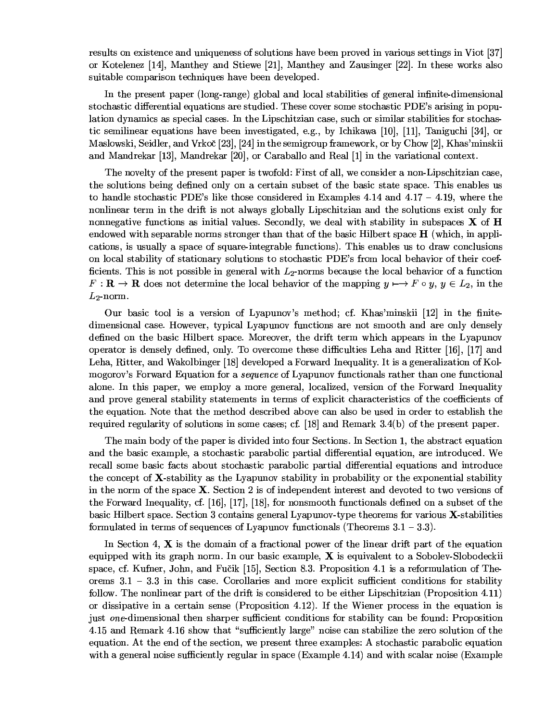results on existence and uniqueness of solutions have been proved in various settings in Viot [37] or Kotelenez [14], Manthey and Stiewe [21], Manthey and Zausinger [22]. In these works also suitable comparison techniques have been developed.

In the present paper (long-range) global and local stabilities of general infinite-dimensional stochastic differential equations are studied. These cover some stochastic PDE's arising in population dynamics as special cases. In the Lipschitzian case, such or similar stabilities for stochastic semilinear equations have been investigated, e.g., by Ichikawa [10], [11], Taniguchi [34], or Maslowski, Seidler, and Vrkoč [23], [24] in the semigroup framework, or by Chow [2], Khas'minskii and Mandrekar [13], Mandrekar [20], or Caraballo and Real  $[1]$  in the variational context.

The novelty of the present paper is twofold: First of all, we consider a non-Lipschitzian case, the solutions being defined only on a certain subset of the basic state space. This enables us to handle stochastic PDE's like those considered in Examples 4.14 and  $4.17 - 4.19$ , where the nonlinear term in the drift is not always globally Lipschitzian and the solutions exist only for nonnegative functions as initial values. Secondly, we deal with stability in subspaces  $X$  of  $H$ endowed with separable norms stronger than that of the basic Hilbert space  $H$  (which, in applications, is usually a space of square-integrable functions). This enables us to draw conclusions on local stability of stationary solutions to stochastic PDE's from local behavior of their coefficients. This is not possible in general with  $L_2$ -norms because the local behavior of a function  $F: \mathbf{R} \to \mathbf{R}$  does not determine the local behavior of the mapping  $y \mapsto F \circ y$ ,  $y \in L_2$ , in the  $L_2$ -norm.

Our basic tool is a version of Lyapunov's method; cf. Khas'minskii [12] in the finitedimensional case. However, typical Lyapunov functions are not smooth and are only densely defined on the basic Hilbert space. Moreover, the drift term which appears in the Lyapunov operator is densely defined, only. To overcome these difficulties Leha and Ritter [16], [17] and Leha, Ritter, and Wakolbinger [18] developed a Forward Inequality. It is a generalization of Kolmogorov's Forward Equation for a *sequence* of Lyapunov functionals rather than one functional alone. In this paper, we employ a more general, localized, version of the Forward Inequality and prove general stability statements in terms of explicit characteristics of the coefficients of the equation. Note that the method described above can also be used in order to establish the required regularity of solutions in some cases; cf. [18] and Remark  $3.4(b)$  of the present paper.

The main body of the paper is divided into four Sections. In Section 1, the abstract equation and the basic example, a stochastic parabolic partial differential equation, are introduced. We recall some basic facts about stochastic parabolic partial differential equations and introduce the concept of **X**-stability as the Lyapunov stability in probability or the exponential stability in the norm of the space X. Section 2 is of independent interest and devoted to two versions of the Forward Inequality, cf. [16], [17], [18], for nonsmooth functionals defined on a subset of the basic Hilbert space. Section 3 contains general Lyapunov-type theorems for various X-stabilities formulated in terms of sequences of Lyapunov functionals (Theorems  $3.1 - 3.3$ ).

In Section 4,  $X$  is the domain of a fractional power of the linear drift part of the equation equipped with its graph norm. In our basic example,  $X$  is equivalent to a Sobolev-Slobodeckii space, cf. Kufner, John, and Fučik [15], Section 8.3. Proposition 4.1 is a reformulation of Theorems  $3.1 - 3.3$  in this case. Corollaries and more explicit sufficient conditions for stability follow. The nonlinear part of the drift is considered to be either Lipschitzian (Proposition 4.11) or dissipative in a certain sense (Proposition 4.12). If the Wiener process in the equation is just one-dimensional then sharper sufficient conditions for stability can be found: Proposition 4.15 and Remark 4.16 show that "sufficiently large" noise can stabilize the zero solution of the equation. At the end of the section, we present three examples: A stochastic parabolic equation with a general noise sufficiently regular in space (Example 4.14) and with scalar noise (Example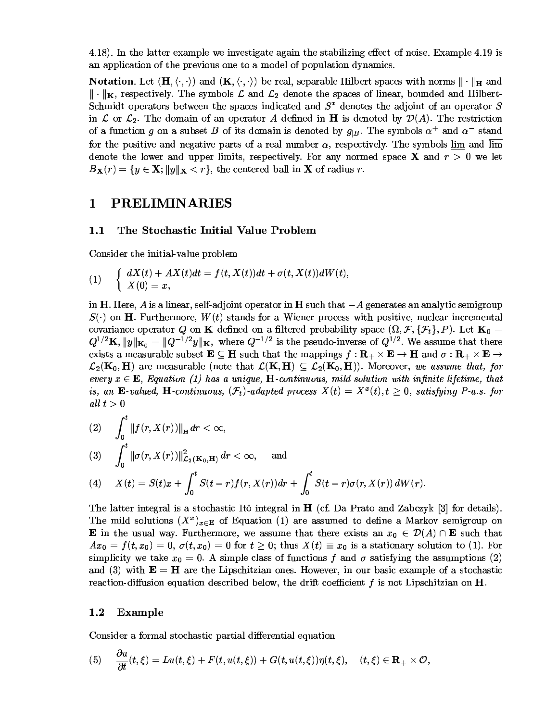4.18). In the latter example we investigate again the stabilizing effect of noise. Example 4.19 is an application of the previous one to a model of population dynamics.

**Notation**. Let  $(\mathbf{H}, \langle \cdot, \cdot \rangle)$  and  $(\mathbf{K}, \langle \cdot, \cdot \rangle)$  be real, separable Hilbert spaces with norms  $\|\cdot\|_{\mathbf{H}}$  and  $\|\cdot\|_{\mathbf{K}}$ , respectively. The symbols  $\mathcal L$  and  $\mathcal L_2$  denote the spaces of linear, bounded and Hilbert-Schmidt operators between the spaces indicated and  $S^*$  denotes the adjoint of an operator S in L or  $\mathcal{L}_2$ . The domain of an operator A defined in H is denoted by  $\mathcal{D}(A)$ . The restriction of a function g on a subset B of its domain is denoted by  $g_{|B}$ . The symbols  $\alpha^+$  and  $\alpha^-$  stand for the positive and negative parts of a real number  $\alpha$ , respectively. The symbols  $\underline{\lim}$  and  $\overline{\lim}$ denote the lower and upper limits, respectively. For any normed space **X** and  $r > 0$  we let  $B_{\mathbf{X}}(r) = \{y \in \mathbf{X}; ||y||_{\mathbf{X}} < r\},\$  the centered ball in **X** of radius r.

#### **PRELIMINARIES**  $\mathbf 1$

#### $1.1$ The Stochastic Initial Value Problem

Consider the initial-value problem

$$
(1) \quad \left\{ \begin{array}{ll} dX(t)+AX(t)dt=f(t,X(t))dt+\sigma(t,X(t))dW(t),\\ X(0)=x, \end{array} \right.
$$

in **H**. Here, A is a linear, self-adjoint operator in **H** such that  $-A$  generates an analytic semigroup  $S(\cdot)$  on H. Furthermore,  $W(t)$  stands for a Wiener process with positive, nuclear incremental covariance operator Q on K defined on a filtered probability space  $(\Omega, \mathcal{F}, \{\mathcal{F}_t\}, P)$ . Let  $\mathbf{K}_0 =$  $Q^{1/2}\mathbf{K}$ ,  $||y||_{\mathbf{K}_0} = ||Q^{-1/2}y||_{\mathbf{K}}$ , where  $Q^{-1/2}$  is the pseudo-inverse of  $Q^{1/2}$ . We assume that there exists a measurable subset  $\mathbf{E} \subseteq \mathbf{H}$  such that the mappings  $f: \mathbf{R}_{+} \times \mathbf{E} \to \mathbf{H}$  and  $\sigma: \mathbf{R}_{+} \times \mathbf{E} \to$  $\mathcal{L}_2(\mathbf{K}_0, \mathbf{H})$  are measurable (note that  $\mathcal{L}(\mathbf{K}, \mathbf{H}) \subseteq \mathcal{L}_2(\mathbf{K}_0, \mathbf{H})$ ). Moreover, we assume that, for every  $x \in \mathbf{E}$ , Equation (1) has a unique, H-continuous, mild solution with infinite lifetime, that is, an E-valued, H-continuous,  $(\mathcal{F}_t)$ -adapted process  $X(t) = X^x(t), t > 0$ , satisfying P-a.s. for all  $t>0$ 

(2) 
$$
\int_0^t \|f(r, X(r))\|_{\mathbf{H}} dr < \infty,
$$
  
\n(3) 
$$
\int_0^t \|\sigma(r, X(r))\|_{\mathcal{L}_2(\mathbf{K}_0, \mathbf{H})}^2 dr < \infty,
$$
 and  
\n(4) 
$$
X(t) = S(t)x + \int_0^t S(t-r)f(r, X(r)) dr + \int_0^t S(t-r)\sigma(r, X(r)) dW(r)
$$

The latter integral is a stochastic Itô integral in  $H$  (cf. Da Prato and Zabczyk [3] for details). The mild solutions  $(X^x)_{x\in E}$  of Equation (1) are assumed to define a Markov semigroup on **E** in the usual way. Furthermore, we assume that there exists an  $x_0 \in \mathcal{D}(A) \cap \mathbf{E}$  such that  $Ax_0 = f(t, x_0) = 0$ ,  $\sigma(t, x_0) = 0$  for  $t \geq 0$ ; thus  $X(t) \equiv x_0$  is a stationary solution to (1). For simplicity we take  $x_0 = 0$ . A simple class of functions f and  $\sigma$  satisfying the assumptions (2) and (3) with  $\mathbf{E} = \mathbf{H}$  are the Lipschitzian ones. However, in our basic example of a stochastic reaction-diffusion equation described below, the drift coefficient  $f$  is not Lipschitzian on  $H$ .

#### $1.2$ Example

Consider a formal stochastic partial differential equation

(5) 
$$
\frac{\partial u}{\partial t}(t,\xi) = Lu(t,\xi) + F(t,u(t,\xi)) + G(t,u(t,\xi))\eta(t,\xi), \quad (t,\xi) \in \mathbf{R}_+ \times \mathcal{O}
$$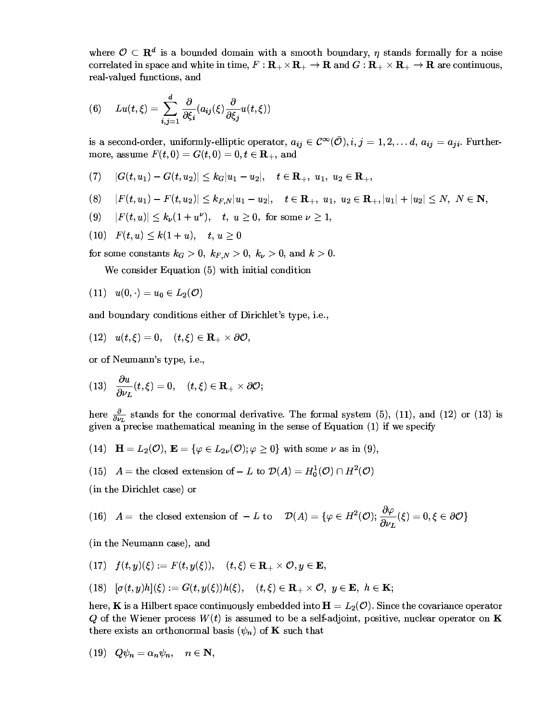where  $\mathcal{O} \subset \mathbb{R}^d$  is a bounded domain with a smooth boundary *n* stands formally for a noise correlated in space and white in time  $F: \mathbf{R}_+ \times \mathbf{R}_+ \to \mathbf{R}$  and  $G: \mathbf{R}_+ \times \mathbf{R}_+ \to \mathbf{R}$  are continuous real valued functions, and

$$
(6) \qquad Lu(t,\xi)=\sum_{i,j=1}^{d}\frac{\partial}{\partial\xi_{i}}(a_{ij}(\xi)\frac{\partial}{\partial\xi_{j}}u(t,\xi))
$$

is a second-order uniformly-ellintic operator  $a_{ii} \in C^{\infty}(\overline{O})$  i  $i=1,2$  d  $a_{ii} = a_{ii}$  Furthermore assume  $F(t, 0) = G(t, 0) = 0$   $t \in \mathbf{R}$ , and

$$
(7) \quad |G(t,u_1)-G(t,u_2)|\leq k_G|u_1-u_2|, \quad t\in \mathbf{R}_+,\,\, u_1,\,\, u_2\in \mathbf{R}_+,
$$

$$
(8) \quad |F(t,u_{1})-F(t,u_{2})|\leq k_{F,N}|u_{1}-u_{2}|, \quad t\in\mathbf{R}_{+},\,\, u_{1},\,\, u_{2}\in\mathbf{R}_{+}, |u_{1}|+|u_{2}|\leq N,\,\, N\in\mathbf{N},
$$

$$
(9) \hspace{0.5cm} |F(t,u)|\leq k_{\nu}(1+u^{\nu}),\hspace{0.5cm} t,\hspace{0.1cm} u\geq 0,\hspace{0.1cm} \text{for some}\hspace{0.1cm} \nu\geq 1,
$$

 $f(10)$   $F(t, u) < k(1 + u)$   $t, u > 0$ 

for some constants  $k_G > 0$ ,  $k_{FN} > 0$ ,  $k_v > 0$ , and  $k > 0$ . 

 $\mathbf{v}$  -  $\mathbf{v}$  -  $\mathbf{v}$  -  $\mathbf{v}$  -  $\mathbf{v}$  -  $\mathbf{v}$  -  $\mathbf{v}$  -  $\mathbf{v}$  -  $\mathbf{v}$  -  $\mathbf{v}$  -  $\mathbf{v}$  -  $\mathbf{v}$  -  $\mathbf{v}$  -  $\mathbf{v}$  -  $\mathbf{v}$  -  $\mathbf{v}$  -  $\mathbf{v}$  -  $\mathbf{v}$  -  $\mathbf{v}$  -  $\mathbf{v}$  -

$$
(11)\quad u(0,\cdot)=u_0\in L_2(\mathcal{O})
$$

and boundary conditions either of Dirichlet's type, i.e.,

$$
(12)\quad u(t,\xi)=0,\quad (t,\xi)\in\mathbf{R}_+\times\partial\mathcal{O},
$$

//B-:@60A- -

$$
(13)\quad \frac{\partial u}{\partial \nu_L}(t,\xi)=0,\quad (t,\xi)\in \mathbf{R}_+\times\partial \mathcal{O};
$$

here  $\frac{\partial}{\partial u}$  stands for the conormal derivative. The formal system (5), (11), and (12) or (13) is given a precise mathematical meaning in the sense of Equation  $(1)$  if we specify

- (14)  $\mathbf{H} = L_0(\mathcal{O})$   $\mathbf{E} = \{ \varphi \in L_0(\mathcal{O}) : \varphi > 0 \}$  with some y as in (9)
- (15)  $A =$  the closed extension of  $-L$  to  $\mathcal{D}(A) = H_2^1(\mathcal{O}) \cap H^2(\mathcal{O})$

 $\overline{O}$  and  $\overline{O}$   $\overline{O}$  and  $\overline{O}$  and  $\overline{O}$  and  $\overline{O}$ 

$$
(16)\quad A=\textrm{ the closed extension of }-L\textrm{ to }\quad \mathcal{D}(A)=\{\varphi\in H^2(\mathcal{O}); \frac{\partial\varphi}{\partial\nu_L}(\xi)=0,\xi\in\partial\mathcal{O}\}
$$

(in the Neumann case) and

$$
(17) \quad f(t,y)(\xi):=F(t,y(\xi)), \quad (t,\xi)\in \mathbf{R}_{+}\times \mathcal{O}, y\in \mathbf{E},
$$

$$
(18)\quad [\sigma(t,y)h](\xi):=G(t,y(\xi))h(\xi),\quad (t,\xi)\in\mathbf{R}_+\times\mathcal{O},\,\,y\in\mathbf{E},\,\,h\in\mathbf{K};
$$

here K is a Hilbert space continuously embedded into  $\mathbf{H} = L_2(\mathcal{O})$ . Since the covariance operator O of the Wiener process  $W(t)$  is assumed to be a self-adjoint positive nuclear operator on K there evists an orthonormal basis  $(y)$  ) of **K** such that

$$
(19) \quad Q\psi_n=\alpha_n\psi_n, \quad n\in\mathbf{N},
$$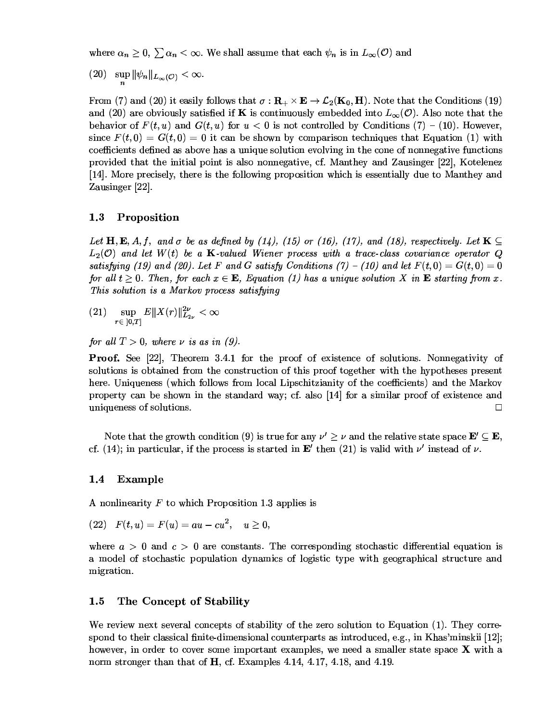where  $\alpha > 0$   $\sum \alpha < \infty$  We shall assume that each  $\psi$ , is in  $L_{\infty}(\mathcal{O})$  and

 $(20) \quad \sup \| \psi_n \|_{L_\infty(\mathcal{O})} < \infty.$ 

From (7) and (20) it easily follows that  $\sigma: \mathbf{R} \to \mathcal{L}_2(\mathbf{K}_2, \mathbf{H})$ . Note that the Conditions (19) and (20) are obviously satisfied if K is continuously embedded into  $L_{\infty}(\mathcal{O})$ . Also note that the behavior of  $F(t, u)$  and  $G(t, u)$  for  $u < 0$  is not controlled by Conditions  $(7) - (10)$  However since  $F(t, 0) = G(t, 0) = 0$  it can be shown by comparison techniques that Equation (1) with ?/-?-06--62/=-36::-6/1:0/-=/1=H03-?/-/B/-H0=-B:?0/6 provided that the initial point is also nonnegative cf Manthey and Zausinger [22] Kotelenez [14] More precisely there is the following proposition which is essentially due to Manthey and  $\sim$  fool  $\sim$ 

## 1.3 Proposition

Let  $\bf{H} \bf{F}$ , A f and  $\sigma$  be as defined by (11) (15) or (16) (17) and (18) respectively Let  $\bf{K} \subset \bf{L}$  $L_2(\mathcal{O})$  and let  $W(t)$  be a **K**-valued Wiener process with a trace-class covariance operator  $\mathcal{O}$ satisfying (19) and (20) Let F and G satisfy Conditions (7) – (10) and let  $F(t, 0) = G(t, 0) = 0$ for all  $t > 0$  Then for each  $x \in \mathbf{F}$ . Equation (1) has a unique solution X in  $\mathbf{F}$  starting from x This solution is a Markov process satisfying

- $(21) \quad \sup_{r \in [0,T]} E\|X(r)$  $E\|X(r)\|_{L_{\infty}}^{2\nu} < \infty$
- for all  $T > 0$  where y is as in (9) <sup>j</sup>

**Proof.** See [22] Theorem  $3.4.1$  for the proof of existence of solutions. Nonnegativity of 6/1:0/66/20-B/@03-?/60:?0//B036//B0/H-03-70303-3A/03-6-6-6-0 here Uniqueness (which follows from local Linschitzianity of the coefficients) and the Markov property can be shown in the standard way: cf. also [14] for a similar proof of existence and  $\Box$  iniqueness of solutions

Note that the growth condition (9) is true for any  $\nu' \ge \nu$  and the relative state space  $\mathbf{E}' \subseteq \mathbf{E}$ cf (14) in particular if the process is started in  $\mathbf{F}'$  then (21) is valid with  $\nu'$  instead of  $\nu$ 

## 1.4 Example

A nonlinearity  $F$  to which Proposition 1.3 applies is

$$
(22)\quad F(t,u)=F(u)=au-cu^2,\quad u\geq 0,
$$

where  $a > 0$  and  $c > 0$  are constants. The corresponding stochastic differential equation is @/-1/B 60/?360?/:10/A@?6/B 1/H60?0A-703H-/H3?1 60:?0: migration.

## 1.5 The Concept of Stability

We review next several concents of stability of the zero solution to Equation  $(1)$  They correspond to their classical finite-dimensional counterparts as introduced e.g. in Khas'minskii [12]. £ however in order to cover some important examples we need a smaller state space  $\bf{X}$  with a norm stronger than that of  $H$  cf. Examples 4.14, 4.17, 4.18, and 4.19.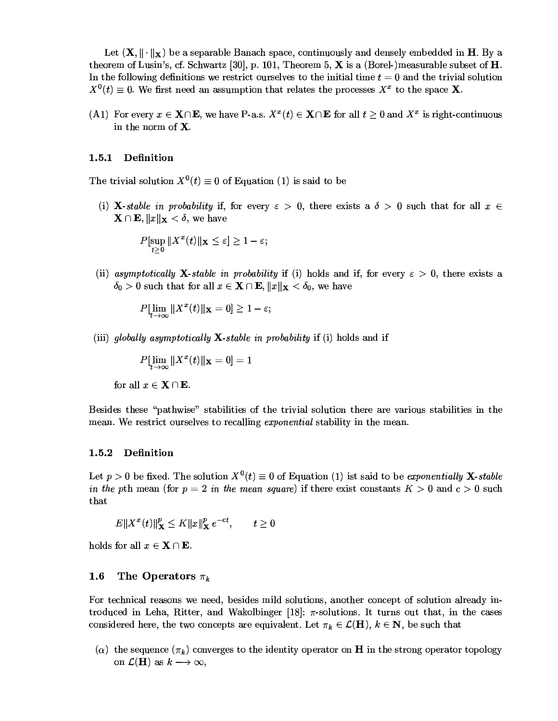Let  $(\mathbf{X} \parallel \cdot \parallel_{\mathbf{v}})$  be a separable Banach space, continuously and densely embedded in H. By a theorem of Lusin's cf. Schwartz [30] p. 101. Theorem 5.  $X$  is a (Borel-)measurable subset of H  $\Gamma_{11}$  the following definitions we assisted expedimente the initial time to  $\Lambda=0$  and the tuinial solution  $X^0(t) = 0$  We first need an assumption that relates the processes  $X^x$  to the space X

(A.1) For every  $x \in \mathbf{X} \cap \mathbf{E}$ , we have P-a.s.  $X^x(t) \in \mathbf{X} \cap \mathbf{E}$  for all  $t > 0$  and  $X^x$  is right-continuous in the norm of  ${\bf X}$ 

## $1.5.1$  Definition

The trivial solution  $X^0(t) = 0$  of Equation (1) is said to be

(i) **X**-stable in probability if for every  $\varepsilon > 0$  there exists a  $\delta > 0$  such that for all  $x \in$  $\mathbf{X} \cap \mathbf{E}$   $\|x\|_{\mathbf{v}} < \delta$  we have

$$
P[\sup_{t>0} ||X^x(t)||_{\mathbf{X}} \leq \varepsilon] \geq 1-\varepsilon;
$$

(ii) asymptotically **X**-stable in probability if (i) holds and if for every  $\varepsilon > 0$  there exists a  $\delta_0 > 0$  such that for all  $x \in \mathbf{X} \cap \mathbf{E}$   $||x||_{\mathbf{v}} < \delta_0$  we have

$$
P[\lim_{t\to\infty}\|X^x(t)\|_{\mathbf{X}}=0]\geq 1-\varepsilon;
$$

(iii) globally asymptotically  $X$ -stable in probability if (i) holds and if

$$
P[\lim_{t\to\infty}\|X^x(t)\|_{\mathbf{X}}=0]=1
$$

for all  $x \in \mathbf{X} \cap \mathbf{E}$ .

m...td... it.... Maccilearly sictifities of its infated colories it.ac. can acatemy sictifities in it... mean. We restrict ourselves to recalling *ernon ential* stability in the mean

#### 1.5.2  $\blacksquare$   $\blacksquare$   $\blacksquare$   $\blacksquare$   $\blacksquare$   $\blacksquare$   $\blacksquare$   $\blacksquare$   $\blacksquare$   $\blacksquare$   $\blacksquare$   $\blacksquare$   $\blacksquare$   $\blacksquare$   $\blacksquare$   $\blacksquare$   $\blacksquare$   $\blacksquare$   $\blacksquare$   $\blacksquare$   $\blacksquare$   $\blacksquare$   $\blacksquare$   $\blacksquare$   $\blacksquare$   $\blacksquare$   $\blacksquare$   $\blacksquare$   $\blacksquare$   $\blacksquare$   $\blacksquare$   $\blacks$

Let  $n > 0$  be fixed. The solution  $X^0(t) = 0$  of Equation (1) ist said to be exponentially **X**-stable  $\mathcal{L}$  the utbecome (for  $\mu = 0$ ) in the means convert of these exists expected to  $V \times 0$  and  $\mu \times 0$  such that

 $E\|X^x(t)\|^p_{\infty} \leq K\|x\|^p_{\infty}e^{-ct}$   $t>0$ 

holds for all  $x \in \mathbf{X} \cap \mathbf{E}$ .

## 1.6 The Operators  $\pi_k$

For technical reasons we need besides mild solutions another concept of solution already introduced in Leha. Bitter, and Wakolbinger [18]:  $\pi$ -solutions. It turns out that in the cases considered here the two concents are equivalent Let  $\pi_k \in \mathcal{L}(\mathbf{H})$ ,  $k \in \mathbf{N}$ , be such that

(a) the corresponded  $(= )$  corresponds to the identity examples on  $\mathbf{H}$  in the strong examples top clear. on  $\mathcal{L}(\mathbf{H})$  as  $k \longrightarrow \infty$ ,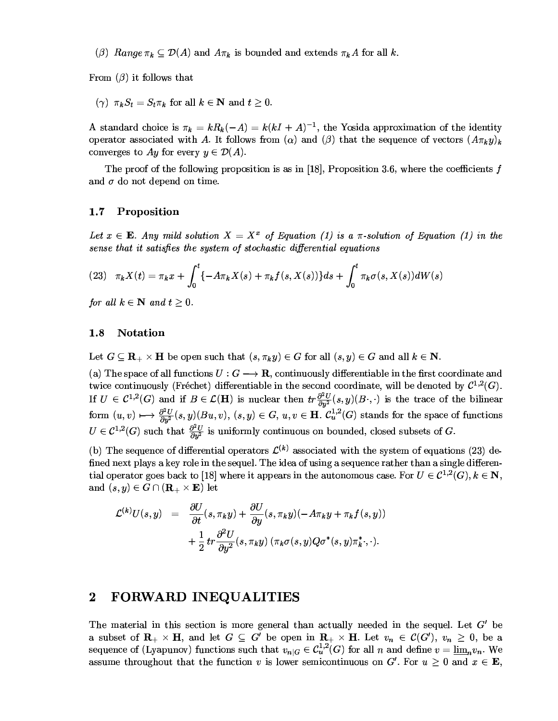(6)  $Range \pi_L \subseteq \mathcal{D}(A)$  and  $A \pi_L$  is bounded and extends  $\pi_L A$  for all k 

From  $(\beta)$  it follows that

$$
(\gamma)
$$
  $\pi_k S_t = S_t \pi_k$  for all  $k \in \mathbb{N}$  and  $t \geq 0$ .

A standard choice is  $\pi_k = kR_k(-A) = k(kI + A)^{-1}$  the Yosida approximation of the identity operator associated with A It follows from  $(\alpha)$  and  $(\beta)$  that the sequence of vectors  $(A\pi,\eta)$ .  $\epsilon$ - $\mathbf{D}(\lambda)$ na ang pag-alawang pang-alawang pang-alawang pang-alawang pang-alawang pang-alawang pang-alawang pang-alawang

The proof of the following proposition is as in [18] Proposition 3.6, where the coefficients  $f$ C//0--/0@-

## 1.7 Proposition

Let  $x \in \mathbf{E}$  Any mild solution  $X = X^x$  of Equation (1) is a  $\pi$ -solution of Equation (1) in the sense that it satisfies the system of stochastic differential equations

(23) 
$$
\pi_k X(t) = \pi_k x + \int_0^t \{-A\pi_k X(s) + \pi_k f(s, X(s))\} ds + \int_0^t \pi_k \sigma(s, X(s)) dW(s)
$$

for all  $k \in \mathbb{N}$  and  $t > 0$ .  $\blacksquare$ 

## 1.8 Notation

Let  $G \subset \mathbf{R} \times \mathbf{H}$  be open such that  $(s, \pi, y) \in G$  for all  $(s, y) \in G$  and all  $k \in \mathbf{N}$ 

(a) The space of all functions  $U: G \longrightarrow \mathbf{R}$  continuously differentiable in the first coordinate and twice continuously (Fréchet) differentiable in the second coordinate will be denoted by  $\mathcal{C}^{1,2}(G)$  If  $U \in C^{1,2}(G)$  and if  $B \in \mathcal{L}(\mathbf{H})$  is nuclear then  $tr \frac{\partial^2 U}{\partial y^2}(s, y)(B \cdot, \cdot)$  is the trace of the bilinear  ${\rm form}\,\, (u,v)\longmapsto \frac{\partial^2 U}{\partial u^2}(s,y)(Bu,v),\, (s,y)\in G,\, u,v\in {\bf H}.\,\, \mathcal{C}^{1,2}_u(G) \hbox{ stands for the space of functions }$  $U \in \mathcal{C}^{1,2}(G)$  such that  $\frac{\partial^2 U}{\partial y^2}$  is uniformly continuous on bounded, closed subsets of G.

(b) The sequence of differential operators  $\mathcal{L}^{(k)}$  associated with the system of equations (23) defined next plays a key role in the sequel The idea of using a sequence rather than a single differential operator goes back to [18] where it appears in the autonomous case For  $U \in C^{1,2}(G)$   $k \in \mathbb{N}$ and  $(s, y) \in G \cap (\mathbf{R} \times \mathbf{E})$  let

$$
\mathcal{L}^{(k)}U(s,y) = \frac{\partial U}{\partial t}(s,\pi_k y) + \frac{\partial U}{\partial y}(s,\pi_k y)(-A\pi_k y + \pi_k f(s,y)) \n+ \frac{1}{2} tr \frac{\partial^2 U}{\partial y^2}(s,\pi_k y) (\pi_k \sigma(s,y) Q \sigma^*(s,y) \pi_k^*,\cdot).
$$

## 2 FORWARD INEQUALITIES

The material in this section is more general than actually needed in the sequel Let  $G'$  be a subset of  $\mathbf{R} \times \mathbf{H}$  and let  $G \subseteq G'$  be open in  $\mathbf{R} \times \mathbf{H}$  Let  $v_n \in C(G')$   $v_n \geq 0$  be a sequence of (Lyapunov) functions such that  $v_{\alpha}$   $\in C^{1,2}_c(G)$  for all n and define  $v = \lim v_{\alpha}$ . We assume throughout that the function y is lower semicontinuous on  $G'$ . For  $u > 0$  and  $x \in \mathbb{R}$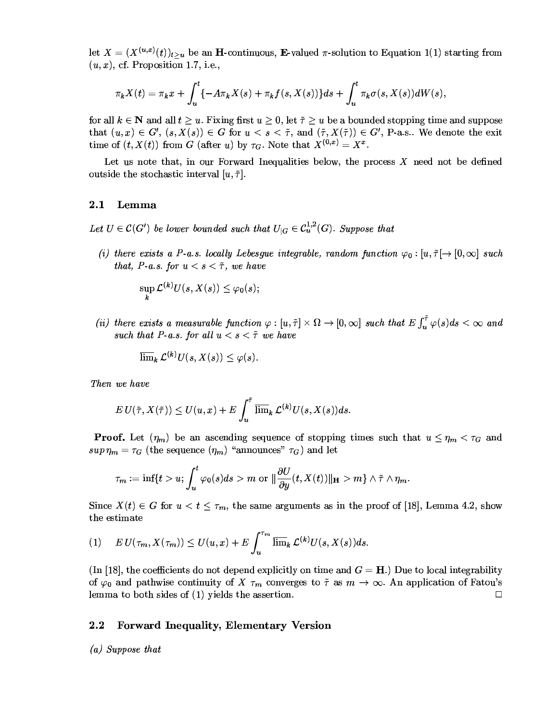let  $X = (X^{(u,x)}(t))_{t \geq u}$  be an **H**-continuous, **E**-valued  $\pi$ -solution to Equation 1(1) starting from  $(u, x)$ , cf. Proposition 1.7, i.e.,

$$
\pi_k X(t) = \pi_k x + \int_u^t \{-A\pi_k X(s) + \pi_k f(s, X(s))\} ds + \int_u^t \pi_k \sigma(s, X(s)) dW(s),
$$

for all  $k \in \mathbb{N}$  and all  $t \geq u$ . Fixing first  $u \geq 0$ , let  $\tilde{\tau} \geq u$  be a bounded stopping time and suppose that  $(u, x) \in G'$ ,  $(s, X(s)) \in G$  for  $u < s < \tilde{\tau}$ , and  $(\tilde{\tau}, X(\tilde{\tau})) \in G'$ , P-a.s.. We denote the exit time of  $(t, X(t))$  from G (after u) by  $\tau_G$ . Note that  $X^{(0,x)} = X^x$ .

Let us note that, in our Forward Inequalities below, the process  $X$  need not be defined outside the stochastic interval  $[u, \tilde{\tau}]$ .

#### Lemma  $\bf 2.1$

Let  $U \in \mathcal{C}(G')$  be lower bounded such that  $U_{|G} \in \mathcal{C}^{1,2}_u(G)$ . Suppose that

(i) there exists a P-a.s. locally Lebesgue integrable, random function  $\varphi_0: [u, \tilde{\tau}] \to [0, \infty]$  such that, P-a.s. for  $u < s < \tilde{\tau}$ , we have

 $\sup_k \mathcal{L}^{(k)}U(s,X(s)) \leq \varphi_0(s);$ 

(ii) there exists a measurable function  $\varphi:[u,\tilde{\tau}]\times\Omega\to[0,\infty]$  such that  $E\int_u^{\tilde{\tau}}\varphi(s)ds<\infty$  and such that P-a.s. for all  $u < s < \tilde{\tau}$  we have

$$
\varlimsup\nolimits_k \mathcal{L}^{(k)}U(s,X(s))\le \varphi(s).
$$

Then we have

$$
EU(\tilde{\tau}, X(\tilde{\tau})) \leq U(u, x) + E \int_u^{\tilde{\tau}} \overline{\lim}_k \mathcal{L}^{(k)} U(s, X(s)) ds
$$

**Proof.** Let  $(\eta_m)$  be an ascending sequence of stopping times such that  $u \leq \eta_m < \tau_G$  and  $sup \eta_m = \tau_G$  (the sequence  $(\eta_m)$  "announces"  $\tau_G$ ) and let

$$
\tau_m:=\inf\{t>u; \int_u^t\varphi_0(s)ds>m \,\, {\rm or} \,\, \|\frac{\partial U}{\partial y}(t,X(t))\|_{\mathbf H}>m\}\wedge \tilde \tau \wedge \eta_m
$$

Since  $X(t) \in G$  for  $u < t \leq \tau_m$ , the same arguments as in the proof of [18], Lemma 4.2, show the estimate

$$
(1) \qquad E U(\tau_m, X(\tau_m)) \leq U(u, x) + E \int_u^{\tau_m} \overline{\lim}_k \mathcal{L}^{(k)} U(s, X(s)) ds.
$$

(In [18], the coefficients do not depend explicitly on time and  $G = H$ .) Due to local integrability of  $\varphi_0$  and pathwise continuity of X  $\tau_m$  converges to  $\tilde{\tau}$  as  $m \to \infty$ . An application of Fatou's lemma to both sides of  $(1)$  yields the assertion.  $\Box$ 

#### $2.2$ **Forward Inequality, Elementary Version**

(a) Suppose that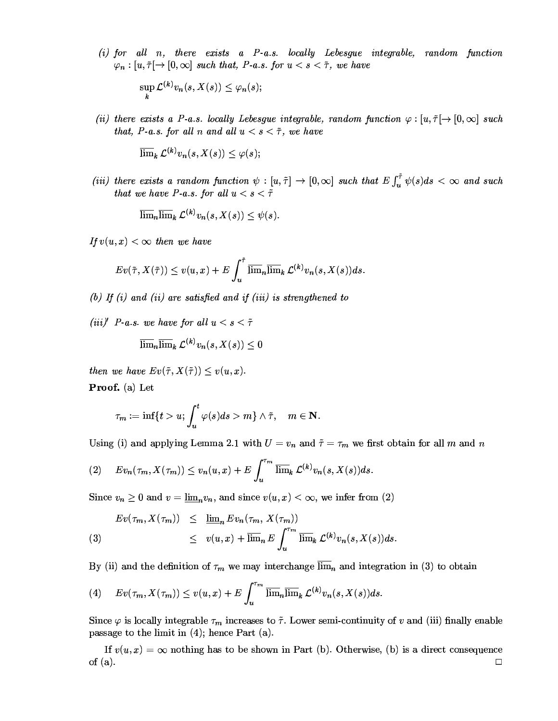(i) for all n there exists a  $P$ -as locally Lebesaue integrable random function  $m : [u \; \tilde{\tau}] \rightarrow [0 \; \infty]$  such that P-a s for  $u < s < \tilde{\tau}$  we have

$$
\sup_{k} \mathcal{L}^{(k)} v_n(s,X(s)) \leq \varphi_n(s);
$$

(ii) there erists a P-a s locally Lebesque integrable random function  $\varphi : [u \, \tilde{\tau}] \rightarrow [0, \infty]$  such that P-a s for all n and all  $u < s < \tilde{\tau}$  we have

$$
\mathop{\overline{\lim}}\nolimits_k {\cal L}^{(k)} v_n(s,X(s)) \le \varphi (s);
$$

(iii) there exists a random function  $\psi : [u, \tilde{\tau}] \to [0, \infty]$  such that  $E \int_{0}^{\tilde{\tau}} \psi(s) ds < \infty$  and such that we have P-a.s. for all  $u < s < \tilde{\tau}$ 

$$
\mathop{\overline{\lim}}_{n}\mathop{\overline{\lim}}_{k}\mathcal{L}^{(k)}v_{n}(s,X(s))\leq\psi(s).
$$

If  $v(u,x) < \infty$  then we have

$$
Ev(\tilde{\tau}, X(\tilde{\tau})) \leq v(u, x) + E \int_u^{\tilde{\tau}} \overline{\lim}_n \overline{\lim}_k \mathcal{L}^{(k)} v_n(s, X(s)) ds.
$$

(b) If (i) and (ii) are satisfied and if (iii) is strenathened to

(iii)' P-a.s. we have for all  $u < s < \tilde{\tau}$ 

$$
\mathop{\overline{\lim}}_{n}\mathop{\overline{\lim}}_{k}\mathcal{L}^{(k)}v_{n}(s,X(s))\leq0
$$

then we have  $E_{\mathcal{U}}(\tilde{\tau} \mid X(\tilde{\tau})) \leq v(u, x)$ **No. 1999** 

 $\mathbf{P}_{\mathbf{r}\mathbf{O}}$  of  $(a)$  Let

$$
\tau_m:=\inf\{t>u; \int_u^t\varphi(s)ds>m\}\wedge \tilde{\tau},\quad m\in\mathbf{N}.
$$

Using (i) and applying Lemma 2.1 with  $U = v_0$  and  $\tilde{\tau} = \tau_m$  we first obtain for all m and n

$$
(2) \quad Ev_n(\tau_m, X(\tau_m)) \leq v_n(u, x) + E \int_u^{\tau_m} \overline{\lim}_k \mathcal{L}^{(k)} v_n(s, X(s)) ds.
$$

Since  $v_n > 0$  and  $v = \lim v_n$  and since  $v(u, x) < \infty$  we infer from (2)

(3) 
$$
Ev(\tau_m, X(\tau_m)) \leq \underline{\lim}_n Ev_n(\tau_m, X(\tau_m))
$$

$$
\leq v(u, x) + \overline{\lim}_n E \int_u^{\tau_m} \overline{\lim}_k \mathcal{L}^{(k)} v_n(s, X(s)) ds.
$$

By (ii) and the definition of  $\tau$  we may interchange lime and integration in (3) to obtain

(4) 
$$
Ev(\tau_m, X(\tau_m)) \leq v(u, x) + E \int_u^{\tau_m} \overline{\lim}_n \overline{\lim}_k \mathcal{L}^{(k)} v_n(s, X(s)) ds.
$$

Since  $\omega$  is locally integrable  $\tau_{\omega}$  increases to  $\tilde{\tau}$  Lower semi-continuity of  $v$  and (iii) finally enable 66H-0/03-1@0D£3-?-0 

If  $v(u, x) = \infty$  nothing has to be shown in Part (b) Otherwise (b) is a direct consequence of  $(a)$ . ,他们的人们就是一个人,他们的人们就是一个人,他们的人们,他们的人们就是一个人,他们的人们,他们的人们就是一个人,他们的人们,他们的人们都是一个人,他们的人们,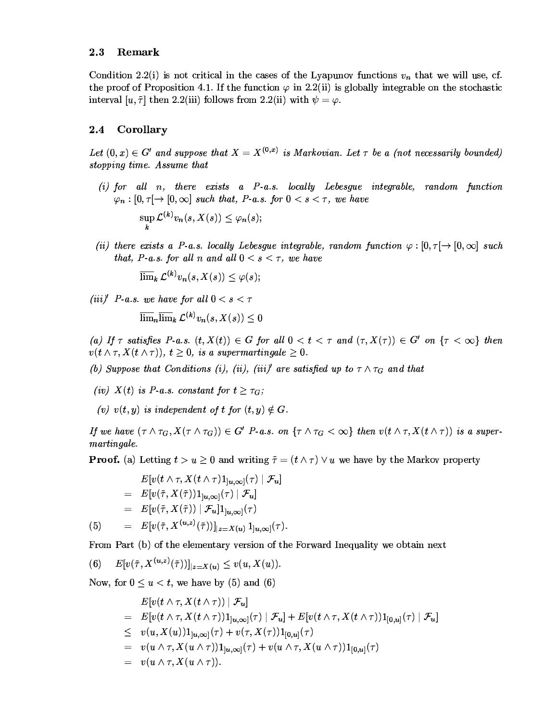#### $2.3$ Remark

Condition 2.2(i) is not critical in the cases of the Lyapunov functions  $v_n$  that we will use, cf. the proof of Proposition 4.1. If the function  $\varphi$  in 2.2(ii) is globally integrable on the stochastic interval [u,  $\tilde{\tau}$ ] then 2.2(iii) follows from 2.2(ii) with  $\psi = \varphi$ .

#### $2.4$ Corollary

Let  $(0, x) \in G'$  and suppose that  $X = X^{(0,x)}$  is Markovian. Let  $\tau$  be a (not necessarily bounded) stopping time. Assume that

- $(i)$  for all  $n$ , there exists a  $P$ -a.s. locally Lebesgue integrable, random function  $\varphi_n : [0, \tau] \to [0, \infty]$  such that, P-a.s. for  $0 < s < \tau$ , we have  $\sup_{k} \mathcal{L}^{(k)} v_n(s,X(s)) \leq \varphi_n(s);$
- (ii) there exists a P-a.s. locally Lebesgue integrable, random function  $\varphi : [0, \tau] \to [0, \infty]$  such that, P-a.s. for all n and all  $0 < s < \tau$ , we have

 $\overline{\lim}_{k} \mathcal{L}^{(k)} v_{n}(s, X(s)) \leq \varphi(s)$ 

(iii)' P-a.s. we have for all  $0 < s < \tau$ 

 $\overline{\lim_n}\overline{\lim}_k \mathcal{L}^{(k)}v_n(s,X(s))\leq 0$ 

(a) If  $\tau$  satisfies P-a.s.  $(t, X(t)) \in G$  for all  $0 < t < \tau$  and  $(\tau, X(\tau)) \in G'$  on  $\{\tau < \infty\}$  then  $v(t \wedge \tau, X(t \wedge \tau)), t \geq 0$ , is a supermartingale  $\geq 0$ .

(b) Suppose that Conditions (i), (ii), (iii)' are satisfied up to  $\tau \wedge \tau_G$  and that

- (iv)  $X(t)$  is P-a.s. constant for  $t \geq \tau_G$ ;
- (v)  $v(t, y)$  is independent of t for  $(t, y) \notin G$ .

If we have  $(\tau \wedge \tau_G, X(\tau \wedge \tau_G)) \in G'$  P-a.s. on  $\{\tau \wedge \tau_G < \infty\}$  then  $v(t \wedge \tau, X(t \wedge \tau))$  is a supermartingale.

**Proof.** (a) Letting  $t > u \ge 0$  and writing  $\tilde{\tau} = (t \wedge \tau) \vee u$  we have by the Markov property

$$
E[v(t \wedge \tau, X(t \wedge \tau)1_{]u,\infty]}(\tau) | \mathcal{F}_u]
$$
  
\n
$$
= E[v(\tilde{\tau}, X(\tilde{\tau}))1_{]u,\infty]}(\tau) | \mathcal{F}_u]
$$
  
\n
$$
= E[v(\tilde{\tau}, X(\tilde{\tau})) | \mathcal{F}_u]1_{]u,\infty]}(\tau)
$$
  
\n(5) 
$$
= E[v(\tilde{\tau}, X^{(u,z)}(\tilde{\tau}))]_{|z=X(u)} 1_{]u,\infty]}(\tau).
$$

From Part (b) of the elementary version of the Forward Inequality we obtain next

 $E[v(\tilde{\tau}, X^{(u,z)}(\tilde{\tau}))]|_{z=X(u)} \leq v(u, X(u)).$  $(6)$ 

Now, for  $0 \le u \le t$ , we have by (5) and (6)

$$
E[v(t \wedge \tau, X(t \wedge \tau)) | \mathcal{F}_u]
$$
  
\n
$$
= E[v(t \wedge \tau, X(t \wedge \tau))1_{]u,\infty]}(\tau) | \mathcal{F}_u] + E[v(t \wedge \tau, X(t \wedge \tau))1_{[0,u]}(\tau) | \mathcal{F}_u]
$$
  
\n
$$
\leq v(u, X(u))1_{]u,\infty]}(\tau) + v(\tau, X(\tau))1_{[0,u]}(\tau)
$$
  
\n
$$
= v(u \wedge \tau, X(u \wedge \tau))1_{]u,\infty]}(\tau) + v(u \wedge \tau, X(u \wedge \tau))1_{[0,u]}(\tau)
$$
  
\n
$$
= v(u \wedge \tau, X(u \wedge \tau)).
$$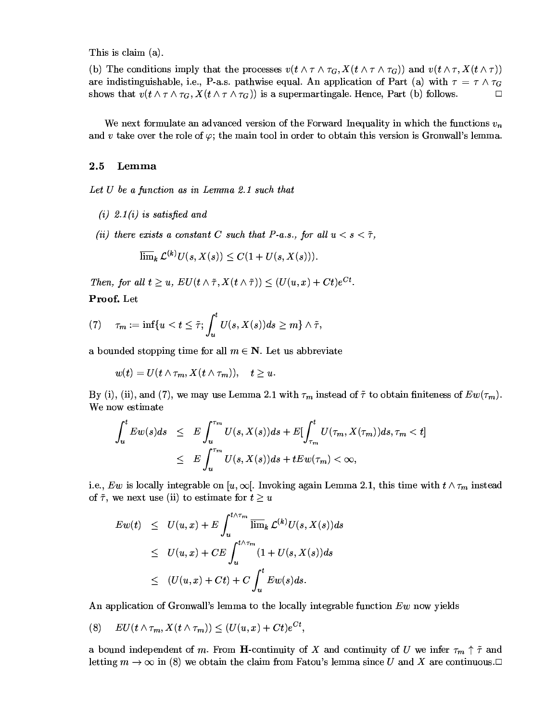This is claim  $(a)$ . 

(b) The conditions imply that the processes  $v(t \wedge \tau \wedge \tau_C, X(t \wedge \tau \wedge \tau_C))$  and  $v(t \wedge \tau, X(t \wedge \tau))$ are indistinguishable i.e. P-a.s. pathwise equal. An application of Part (a) with  $\tau = \tau \wedge \tau_C$ shows that  $v(t \wedge \tau \wedge \tau_{\alpha} X(t \wedge \tau \wedge \tau_{\alpha}))$  is a supermartingale. Hence Part (b) follows  $\Box$ 

We next formulate an advanced version of the Forward Inequality in which the functions  $v$ and *y* take over the role of  $\omega$  the main tool in order to obtain this version is Gronwall's lemma

## $2.5$  Lemma

Let  $U$  be a function as in Lemma 2.1 such that

- $(i)$  2.1 $(i)$  is satisfied and
- (ii) there exists a constant C such that P-a.s., for all  $u < s < \tilde{\tau}$ , **William Communication**

$$
\varlimsup\nolimits_k \mathcal{L}^{(k)}U(s,X(s)) \leq C(1+U(s,X(s))).
$$

Then for all  $t > u$ ,  $E[\overline{U}(t \wedge \tilde{\tau} \, X(t \wedge \tilde{\tau}))] \leq (U(u, x) + Ct)e^{Ct}$ **No. 1999**  $\mathbf{P_{\text{roof}}}\,$  T.et.  $\sim$  0.000  $\sim$  0.000  $\sim$  0.000  $\sim$  0.000  $\sim$  0.000  $\sim$  0.000  $\sim$  0.000  $\sim$  0.000  $\sim$  0.000  $\sim$ 

$$
(7) \quad \tau_m:=\inf\{u
$$

a bounded stopping time for all  $m \in \mathbb{N}$  Let us abbreviate

$$
w(t)=U(t\wedge \tau_m,X(t\wedge \tau_m)),\quad t\geq u.
$$

By (i), (ii), and (7), we may use Lemma 2.1 with  $\tau_m$  instead of  $\tilde{\tau}$  to obtain finiteness of  $Ew(\tau_m)$ . a diaman'i Amerika A

$$
\int_{u}^{t} E w(s) ds \leq E \int_{u}^{\tau_{m}} U(s, X(s)) ds + E \left[ \int_{\tau_{m}}^{t} U(\tau_{m}, X(\tau_{m})) ds, \tau_{m} < t \right]
$$
  

$$
\leq E \int_{u}^{\tau_{m}} U(s, X(s)) ds + t E w(\tau_{m}) < \infty,
$$

i.e. Eun is locally integrable on  $[u,\infty]$ . Invoking again Lemma 2.1 this time with  $t \wedge \tau_{-}$  instead of  $\tilde{\tau}$  we next use (ii) to estimate for  $t \geq u$ 

$$
Ew(t) \leq U(u, x) + E \int_{u}^{t \wedge \tau_m} \overline{\lim}_{k} \mathcal{L}^{(k)} U(s, X(s)) ds
$$
  
\n
$$
\leq U(u, x) + C E \int_{u}^{t \wedge \tau_m} (1 + U(s, X(s)) ds
$$
  
\n
$$
\leq (U(u, x) + Ct) + C \int_{u}^{t} Ew(s) ds.
$$

1?0//B./71161-@@0/03-1/?11A0-H21-B:?0/-/7A-16

$$
(8) \quad EU(t\wedge \tau_m,X(t\wedge \tau_m))\leq (U(u,x)+Ct)e^{Ct},
$$

a bound independent of m. From H-continuity of X and continuity of U we infer  $\tau_{m} \uparrow \tilde{\tau}$  and letting  $m \to \infty$  in (8) we obtain the claim from Fatou's lemma since U and X are continuous  $\Box$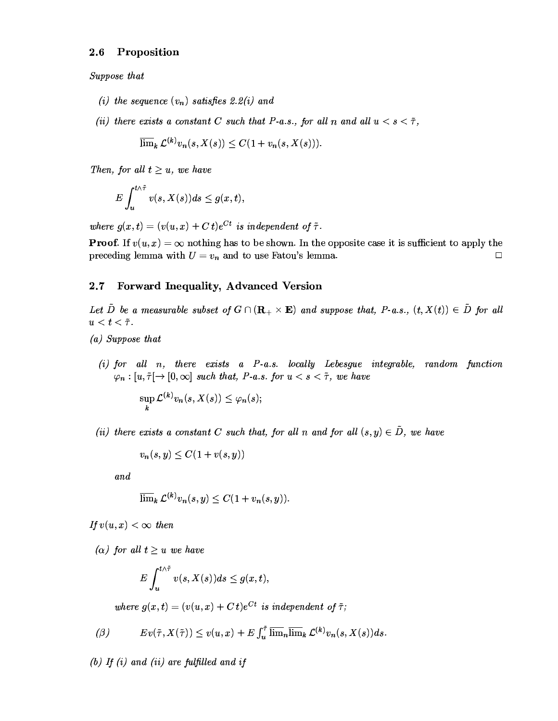#### Proposition  $2.6\,$

Suppose that

- (i) the sequence  $(v_n)$  satisfies 2.2(i) and
- (ii) there exists a constant C such that P-a.s., for all n and all  $u < s < \tilde{\tau}$ ,

$$
\overline{\lim}_k \mathcal{L}^{(k)} v_n(s,X(s)) \leq C(1+v_n(s,X(s))).
$$

Then, for all  $t \geq u$ , we have

$$
E\int_{u}^{t\wedge \tilde{\tau}}v(s,X(s))ds\leq g(x,t),
$$

where  $g(x,t) = (v(u,x) + Ct)e^{Ct}$  is independent of  $\tilde{\tau}$ .

**Proof.** If  $v(u, x) = \infty$  nothing has to be shown. In the opposite case it is sufficient to apply the preceding lemma with  $U = v_n$  and to use Fatou's lemma.  $\Box$ 

#### Forward Inequality, Advanced Version  $2.7$

Let D be a measurable subset of  $G \cap (\mathbf{R}_{+} \times \mathbf{E})$  and suppose that, P-a.s.,  $(t, X(t)) \in D$  for all  $u < t < \tilde{\tau}$ .

- (a) Suppose that
	- $(i)$  for all n, there exists a P-a.s. locally Lebesgue integrable, random function  $\varphi_n : [u, \tilde{\tau}] \to [0, \infty]$  such that, P-a.s. for  $u < s < \tilde{\tau}$ , we have

$$
\sup_{k} \mathcal{L}^{(k)} v_n(s, X(s)) \leq \varphi_n(s);
$$

(ii) there exists a constant C such that, for all n and for all  $(s, y) \in \tilde{D}$ , we have

$$
v_n(s,y) \leq C(1+v(s,y))
$$

and

$$
\overline{\lim}_k \mathcal{L}^{(k)} v_n(s,y) \leq C(1 + v_n(s,y))
$$

If  $v(u, x) < \infty$  then

( $\alpha$ ) for all  $t \geq u$  we have

$$
E\int_{u}^{t\wedge \tilde{\tau}}v(s,X(s))ds\leq g(x,t),
$$

where  $g(x,t) = (v(u,x) + Ct)e^{Ct}$  is independent of  $\tilde{\tau}$ ;

$$
\text{(}\beta\text{)} \qquad \qquad Ev(\tilde{\tau}, X(\tilde{\tau})) \leq v(u, x) + E \int_u^{\tilde{\tau}} \overline{\lim}_n \overline{\lim}_k \mathcal{L}^{(k)} v_n(s, X(s)) ds.
$$

(b) If (i) and (ii) are fulfilled and if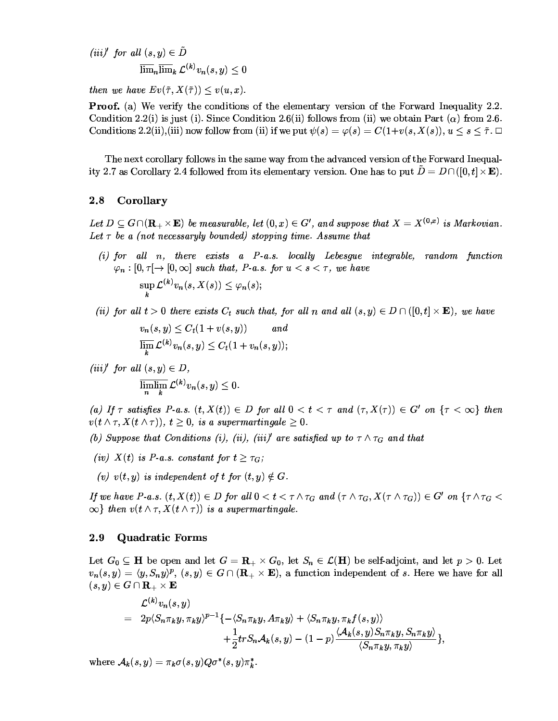$$
\begin{aligned} (iii)' \ \ for \ all \ (s,y) &\in \tilde{D} \\ \overline{\lim}_n\overline{\lim}_k \ \mathcal{L}^{(k)}v_n(s,y) &\leq 0 \end{aligned}
$$

then we have  $Ev(\tilde{\tau}, X(\tilde{\tau})) \leq v(u, x)$ .

**Proof.** (a) We verify the conditions of the elementary version of the Forward Inequality 2.2. Condition 2.2(i) is just (i). Since Condition 2.6(ii) follows from (ii) we obtain Part ( $\alpha$ ) from 2.6. Conditions 2.2(ii), (iii) now follow from (ii) if we put  $\psi(s) = \varphi(s) = C(1+v(s,X(s)), u \leq s \leq \tilde{\tau}$ .

The next corollary follows in the same way from the advanced version of the Forward Inequality 2.7 as Corollary 2.4 followed from its elementary version. One has to put  $\bar{D} = D \cap ([0, t] \times \mathbf{E})$ .

#### $2.8$ Corollary

Let  $D \subseteq G \cap (\mathbf{R}_{+} \times \mathbf{E})$  be measurable, let  $(0, x) \in G'$ , and suppose that  $X = X^{(0,x)}$  is Markovian. Let  $\tau$  be a (not necessaryly bounded) stopping time. Assume that

- $(i)$  for all n, there exists a P-a.s. locally Lebesque integrable, random function  $\varphi_n : [0, \tau] \to [0, \infty]$  such that, P-a.s. for  $u < s < \tau$ , we have  $\sup_k \mathcal{L}^{(k)} v_n(s,X(s)) \leq \varphi_n(s);$
- (ii) for all  $t > 0$  there exists  $C_t$  such that, for all n and all  $(s, y) \in D \cap ([0, t] \times E)$ , we have

$$
v_n(s, y) \le C_t(1 + v(s, y)) \quad and
$$
  

$$
\overline{\lim_{k}} \mathcal{L}^{(k)} v_n(s, y) \le C_t(1 + v_n(s, y));
$$

(iii)' for all  $(s, y) \in D$ ,  $\overline{\lim_{n}\lim_{k}}\mathcal{L}^{(k)}v_{n}(s,y)\leq 0.$ 

(a) If  $\tau$  satisfies P-a.s.  $(t, X(t)) \in D$  for all  $0 < t < \tau$  and  $(\tau, X(\tau)) \in G'$  on  $\{\tau < \infty\}$  then  $v(t \wedge \tau, X(t \wedge \tau)), t \geq 0$ , is a supermartingale  $\geq 0$ .

- (b) Suppose that Conditions (i), (ii), (iii)' are satisfied up to  $\tau \wedge \tau_G$  and that
- (iv)  $X(t)$  is P-a.s. constant for  $t \geq \tau_G$ ;
- (v)  $v(t, y)$  is independent of t for  $(t, y) \notin G$ .

If we have P-a.s.  $(t, X(t)) \in D$  for all  $0 < t < \tau \wedge \tau_G$  and  $(\tau \wedge \tau_G, X(\tau \wedge \tau_G)) \in G'$  on  $\{\tau \wedge \tau_G <$  $\infty$  then  $v(t \wedge \tau, X(t \wedge \tau))$  is a supermartingale.

#### 2.9 **Quadratic Forms**

Let  $G_0 \subseteq \mathbf{H}$  be open and let  $G = \mathbf{R}_+ \times G_0$ , let  $S_n \in \mathcal{L}(\mathbf{H})$  be self-adjoint, and let  $p > 0$ . Let  $v_n(s, y) = \langle y, S_n y \rangle^p$ ,  $(s, y) \in G \cap (\mathbf{R}_+ \times \mathbf{E})$ , a function independent of s. Here we have for all  $(s,y)\in G\cap \mathbf{R}_+\times \mathbf{E}$ 

$$
\mathcal{L}^{(k)}v_n(s,y) = 2p\langle S_n\pi_k y, \pi_k y\rangle^{p-1}\{-\langle S_n\pi_k y, A\pi_k y\rangle + \langle S_n\pi_k y, \pi_k f(s,y)\rangle + \frac{1}{2}tr S_n\mathcal{A}_k(s,y) - (1-p)\frac{\langle \mathcal{A}_k(s,y)S_n\pi_k y, S_n\pi_k y\rangle}{\langle S_n\pi_k y, \pi_k y\rangle}\},
$$

where  $A_k(s, y) = \pi_k \sigma(s, y) Q \sigma^*(s, y) \pi_k^*$ .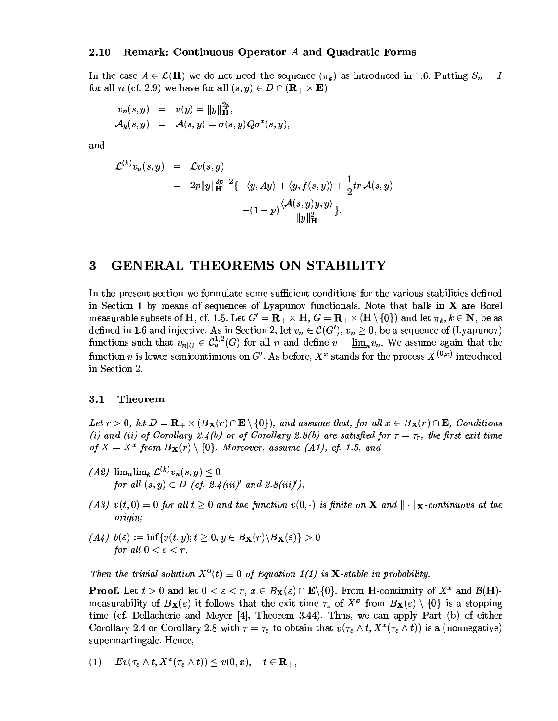## 2.10 Remark: Continuous Operator 4 and Quadratic Forms

In the case  $A \in \mathcal{L}(\mathbf{H})$  we do not need the sequence  $(\pi_k)$  as introduced in 1.6. Putting  $S_n = I$ for all n (cf 29) we have for all  $(s, y) \in D \cap (\mathbf{R} \times \mathbf{E})$ 

$$
\begin{array}{rcl} v_n(s,y) & = & v(y) = \Vert y \Vert_{\mathbf{H}}^{2p}, \\ \mathcal{A}_k(s,y) & = & \mathcal{A}(s,y) = \sigma(s,y) Q \sigma^*(s,y), \end{array}
$$

and

$$
\mathcal{L}^{(k)}v_n(s,y) = \mathcal{L}v(s,y)
$$
  
=  $2p\|y\|_{\mathbf{H}}^{2p-2}\{-\langle y, Ay \rangle + \langle y, f(s,y) \rangle + \frac{1}{2}tr \mathcal{A}(s,y)$   

$$
-(1-p)\frac{\langle \mathcal{A}(s,y)y, y \rangle}{\|y\|_{\mathbf{H}}^2}\}.
$$

## 3 GENERAL THEOREMS ON STABILITY

Le the consect section and formulate semi-endflatent conditions for the menters stabilities defined in Section 1 by means of sequences of Lyapunov functionals. Note that halls in  $X$  are Borel measurable subsets of H cf 1.5 Let  $G' = \mathbf{R} \times \mathbf{H}$   $G = \mathbf{R} \times (\mathbf{H} \setminus \{0\})$  and let  $\pi$ ,  $k \in \mathbf{N}$  be as defined in 1.6 and injective As in Section 2, let  $v_{\alpha} \in \mathcal{C}(G')$ ,  $v_{\alpha} > 0$ , be a sequence of (Lyapunov) functions such that  $v_{\alpha} \in C^{1,2}_s(G)$  for all n and define  $v = \lim v_{\alpha}$ . We assume again that the function *v* is lower semicontinuous on G'. As before  $X^x$  stands for the process  $X^{(0,x)}$  introduced -?0/ 

## 3.1 Theorem

Let  $r > 0$ , let  $D = \mathbf{R}_{+} \times (B_{\mathbf{X}}(r) \cap \mathbf{E} \setminus \{0\})$ , and assume that, for all  $x \in B_{\mathbf{X}}(r) \cap \mathbf{E}$ , Conditions (i) and (ii) of Corollary 2.1(b) or of Corollary 2.8(b) are satisfied for  $\tau = \tau_*$ , the first exit time of  $X = X^x$  from  $B_{\mathbf{Y}}(r) \setminus \{0\}$  Moreover assume (A1) of 1.5 and

- $(A2)$   $\overline{\lim}_n \overline{\lim}_k \mathcal{L}^{(k)} v_n(s,y) \leq 0$ for all  $(s, y) \in D$  (cf. 2.1(iii)<sup>'</sup> and 2.8(iii)<sup>'</sup>).
- (A.3)  $v(t, 0) = 0$  for all  $t > 0$  and the function  $v(0, \cdot)$  is finite on **X** and  $\|\cdot\|$  **y**-continuous at the origin;
- $(A \cup b(\varepsilon)) := \inf \{ y(t, y) : t \geq 0 \mid y \in B_{\mathbf{Y}}(r) \setminus B_{\mathbf{Y}}(\varepsilon) \} > 0$ for all  $0 < \varepsilon < r$ .

Then the trivial solution  $X^0(t) \equiv 0$  of Equation 1(1) is **X**-stable in probability.

**Proof.** Let  $t > 0$  and let  $0 < \varepsilon < r$ ,  $x \in B_{\mathbf{v}}(\varepsilon) \cap \mathbf{E} \setminus \{0\}$ . From H-continuity of  $X^x$  and  $\mathcal{B}(\mathbf{H})$ . measurability of  $R_{\mathbf{v}}(s)$  it follows that the evit time  $\tau$  of  $X^x$  from  $R_{\mathbf{v}}(s) \setminus \{0\}$  is a stopping time (cf. Dellacherie and Meyer [4] Theorem  $3.44$ ) Thus we can apply Part (b) of either Corollary 2.4 or Corollary 2.8 with  $\tau = \tau$ , to obtain that  $v(\tau, \Lambda t, X^x(\tau, \Lambda t))$  is a (nonnegative) sunermartingale Hence 

$$
(1) \quad E v(\tau_{\varepsilon} \wedge t, X^{x}(\tau_{\varepsilon} \wedge t)) \leq v(0,x), \quad t \in \mathbf{R}_{+},
$$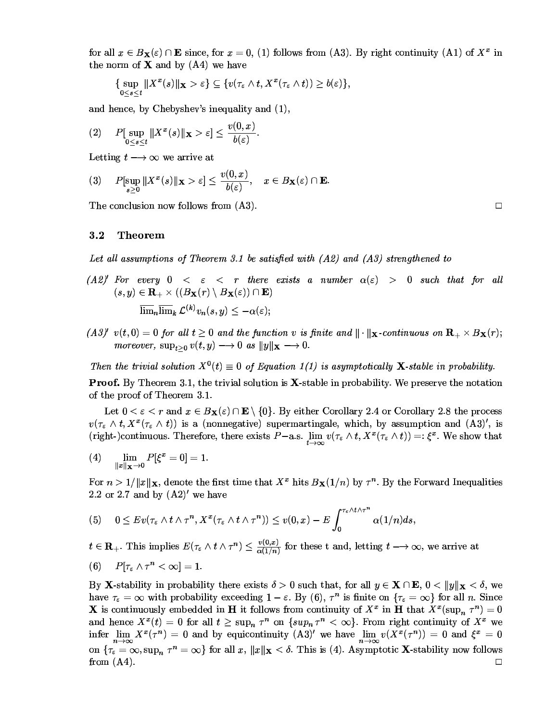for all  $x \in B_{\mathbf{X}}(\varepsilon) \cap \mathbf{E}$  since, for  $x = 0$ , (1) follows from (A3). By right continuity (A1) of  $X^x$  in the norm of  $X$  and by  $(A4)$  we have

{ 
$$
\sup_{0 \le s \le t} ||X^x(s)||_{\mathbf{X}} > \varepsilon
$$
 }  $\subseteq \{v(\tau_{\varepsilon} \wedge t, X^x(\tau_{\varepsilon} \wedge t)) \ge b(\varepsilon)\},\$ 

and hence, by Chebyshev's inequality and (1),

$$
(2) \quad P[\sup_{0\leq s\leq t} \|X^x(s)\|_{\mathbf{X}} > \varepsilon] \leq \frac{v(0,x)}{b(\varepsilon)}
$$

Letting  $t \rightarrow \infty$  we arrive at

$$
(3) \quad P[\sup_{s\geq 0} \|X^x(s)\|_{\mathbf{X}} > \varepsilon] \leq \frac{v(0,x)}{b(\varepsilon)}, \quad x \in B_{\mathbf{X}}(\varepsilon) \cap \mathbf{E}.
$$

The conclusion now follows from  $(A3)$ .

#### $3.2$ **Theorem**

Let all assumptions of Theorem 3.1 be satisfied with  $(A2)$  and  $(A3)$  strengthened to

- $(A2)'$  For every  $0 < \varepsilon < r$  there exists a number  $\alpha(\varepsilon) > 0$  such that for all  $(s, y) \in \mathbf{R}_{+} \times ((B_{\mathbf{X}}(r) \setminus B_{\mathbf{X}}(\varepsilon)) \cap \mathbf{E})$  $\overline{\lim}_n \overline{\lim}_k \mathcal{L}^{(k)} v_n(s,y) \leq -\alpha(\varepsilon);$
- $(A3)'$  v(t, 0) = 0 for all  $t \ge 0$  and the function v is finite and  $\|\cdot\|_X$ -continuous on  $\mathbf{R}_{+} \times B_X(r)$ ; moreover,  $\sup_{t>0} v(t,y) \longrightarrow 0$  as  $||y||_{\mathbf{X}} \longrightarrow 0$ .

Then the trivial solution  $X^0(t) \equiv 0$  of Equation 1(1) is asymptotically **X**-stable in probability.

**Proof.** By Theorem 3.1, the trivial solution is **X**-stable in probability. We preserve the notation of the proof of Theorem 3.1.

Let  $0 < \varepsilon < r$  and  $x \in B_{\mathbf{X}}(\varepsilon) \cap \mathbf{E} \setminus \{0\}$ . By either Corollary 2.4 or Corollary 2.8 the process  $v(\tau_{\varepsilon} \wedge t, X^x(\tau_{\varepsilon} \wedge t))$  is a (nonnegative) supermartingale, which, by assumption and  $(A3)'$ , is (right-)continuous. Therefore, there exists  $P-a.s.$   $\lim_{t\to\infty} v(\tau_{\varepsilon} \wedge t, X^x(\tau_{\varepsilon} \wedge t)) =: \xi^x$ . We show that

$$
(4) \qquad \lim_{\|x\|_{\mathbf{X}} \to 0} P[\xi^x = 0] = 1.
$$

For  $n > 1/||x||_{\mathbf{X}}$ , denote the first time that  $X^x$  hits  $B_{\mathbf{X}}(1/n)$  by  $\tau^n$ . By the Forward Inequalities 2.2 or 2.7 and by  $(A2)'$  we have

$$
(5) \quad 0 \le Ev(\tau_{\varepsilon} \wedge t \wedge \tau^{n}, X^{x}(\tau_{\varepsilon} \wedge t \wedge \tau^{n})) \le v(0,x) - E \int_{0}^{\tau_{\varepsilon} \wedge t \wedge \tau^{n}} \alpha(1/n) ds.
$$

 $t \in \mathbf{R}_+$ . This implies  $E(\tau_{\varepsilon} \wedge t \wedge \tau^n) \leq \frac{v(0,x)}{\alpha(1/n)}$  for these t and, letting  $t \longrightarrow \infty$ , we arrive at

$$
(6) \tP[\tau_{\varepsilon} \wedge \tau^{n} < \infty] = 1.
$$

By **X**-stability in probability there exists  $\delta > 0$  such that, for all  $y \in \mathbf{X} \cap \mathbf{E}$ ,  $0 < ||y||_{\mathbf{X}} < \delta$ , we have  $\tau_{\varepsilon} = \infty$  with probability exceeding  $1 - \varepsilon$ . By (6),  $\tau^{n}$  is finite on  $\{\tau_{\varepsilon} = \infty\}$  for all *n*. Since **X** is continuously embedded in **H** it follows from continuity of  $X^x$  in **H** that  $X^x(\sup_n \tau^n) = 0$ and hence  $X^x(t) = 0$  for all  $t \geq \sup_n \tau^n$  on  $\{ \sup_n \tau^n < \infty \}$ . From right continuity of  $X^x$  we infer  $\lim_{n\to\infty} X^x(\tau^n) = 0$  and by equicontinuity  $(A3)'$  we have  $\lim_{n\to\infty} v(X^x(\tau^n)) = 0$  and  $\xi^x = 0$ on  $\{\tau_{\varepsilon} = \infty, \sup_n \tau^n = \infty\}$  for all x,  $||x||_X < \delta$ . This is (4). Asymptotic **X**-stability now follows  $\Box$ from  $(A4)$ .

 $\Box$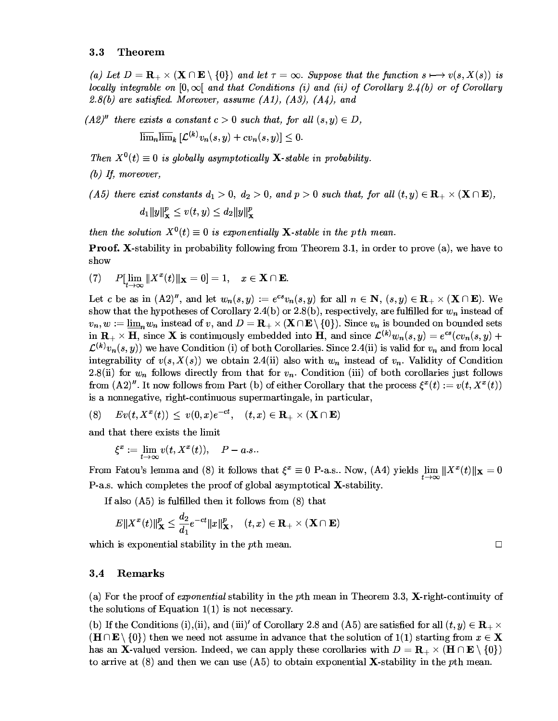## 3.3 Theorem

(a) Let  $D = \mathbf{R} \times (\mathbf{X} \cap \mathbf{E} \setminus \{0\})$  and let  $\tau = \infty$ . Suppose that the function  $s \mapsto v(s, X(s))$  is  $b$  to the local property of the United States (i) and (ii) of Corollary 2.1(b) or of Corollary 2.8(b) are satisfied. Moreover, assume  $(A1)$   $(A3)$   $(A1)$  and

**No. 1999** 

 $(A2)^{\prime\prime}$  there exists a constant  $c > 0$  such that for all  $(s, y) \in D$  $\blacksquare$  $\overline{\lim}_n \overline{\lim}_k [\mathcal{L}^{(k)} v_n(s, y) + c v_n(s, y)] < 0.$ 

Then  $X^0(t) \equiv 0$  is globally asymptotically **X**-stable in probability.

 $(h)$  If moreover

(A5) there exist constants  $d_1 > 0$ ,  $d_2 > 0$ , and  $n > 0$  such that, for all  $(t, u) \in \mathbb{R}_+ \times (\mathbf{X} \cap \mathbf{E})$ .  $d_1 \|u\|^p \leq v(t, y) \leq d_2 \|u\|^p$ 

then the solution  $X^0(t) \equiv 0$  is exponentially **X**-stable in the pth mean.

**Proof.** X-stability in probability following from Theorem 3.1 in order to prove (a) we have to show

 $\begin{array}{lll} \hbox{I} & P[\,\lim\,\|X^x(t)\|_{\mathbf X}=0]=1, & x\in {\mathbf X}\cap {\mathbf E}. \end{array}$ 

Let c be as in  $(A2)^n$  and let  $w_n(s, y) := e^{cs}v_n(s, y)$  for all  $n \in \mathbb{N}$   $(s, y) \in \mathbb{R}$ ,  $\times (\mathbf{X} \cap \mathbf{E})$  We show that the hypotheses of Corollary 2.4(b) or 2.8(b), respectively, are fulfilled for  $w$ , instead of  $v_n$ ,  $w := \lim_{n \to \infty} w_n$  instead of v and  $D = \mathbf{R}_1 \times (\mathbf{X} \cap \mathbf{E} \setminus \{0\})$ . Since  $v_n$  is bounded on bounded sets in **R**<sub>t</sub>  $\times$  **H** since **X** is continuously embedded into **H** and since  $\mathcal{L}^{(k)}w_n(s, y) = e^{cs}(cu_n(s, y)) +$  $f^{(k)}(x, (s, y))$  we have Condition (i) of both Corollaries. Since 2.4(ii) is valid for  $y_n$  and from local integrability of  $v(s, X(s))$  we obtain 2.4(ii) also with  $w_n$  instead of  $v_n$ . Validity of Condition  $2.8$ (ii) for  $w_{\infty}$  follows directly from that for  $v_{\infty}$ . Condition (iii) of both corollaries just follows from  $(A2)^n$  It now follows from Part (b) of either Corollary that the process  $\xi^x(t) := v(t, X^x(t))$ is a nonnegative right-continuous supermartingale in particular

$$
(8) \hspace{0.5cm} Ev(t,X^{x}(t)) \hspace{0.1cm} \le \hspace{0.1cm} v(0,x)e^{-ct}, \hspace{0.5cm} (t,x) \in \textbf{R}_{+} \times (\textbf{X} \cap \textbf{E})
$$

03003---¤60603-1@0

$$
\xi^x:=\lim_{t\to\infty}v(t,X^x(t)),\quad P-a.s..
$$

From Fatou's lemma and (8) it follows that  $\xi^x \equiv 0$  P-a.s.. Now, (A4) yields  $\lim \|X^x(t)\|_{\mathbf X} = 0$  $P_{-3}$  s, which completes the proof of global asymptotical  $X$ -stability

B16/6B:111-03-0B/11/76B/@030

$$
E\|X^x(t)\|_{\mathbf{X}}^p \leq \frac{d_2}{d_1}e^{-ct}\|x\|_{\mathbf{X}}^p, \quad (t,x) \in \mathbf{R}_+\times (\mathbf{X}\cap \mathbf{E})
$$

aaladaha dagaanaa araan idad ahaaladahaan dagu uu kale ahaan ahaan ahaan ahaan ahaan ahaan ahaan ahaan ahaan a 

## 3.4 Remarks

(a) For the proof of *ernonential* stability in the *n*th mean in Theorem 3.3 X-right-continuity of the solutions of Equation  $1(1)$  is not necessary

(b) If the Conditions (i) (ii) and (iii)' of Corollary 2.8 and (A5) are satisfied for all  $(t, y) \in \mathbf{R}$ ,  $\times$  $\mathcal{L}(\mathbf{H} \cap \mathbf{E} \setminus \{0\})$  then we need not assume in advance that the solution of  $1(1)$  starting from  $x \in \mathbf{X}$ has an X-valued version. Indeed, we can apply these corollaries with  $D = \mathbf{R} \times (\mathbf{H} \cap \mathbf{E} \setminus \{0\})$ to arrive at  $(8)$  and then we can use  $(4.5)$  to obtain exponential **X**-stability in the *n*th mean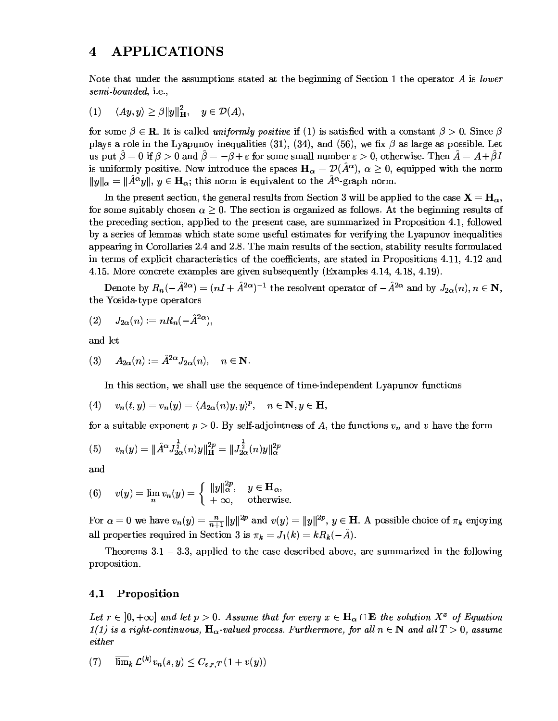#### $\overline{\mathbf{4}}$ **APPLICATIONS**

Note that under the assumptions stated at the beginning of Section 1 the operator A is lower semi-bounded, i.e.,

 $\langle Ay, y \rangle \geq \beta ||y||^2_{\mathbf{H}}, \quad y \in \mathcal{D}(A),$  $(1)$ 

for some  $\beta \in \mathbf{R}$ . It is called *uniformly positive* if (1) is satisfied with a constant  $\beta > 0$ . Since  $\beta$ plays a role in the Lyapunov inequalities (31), (34), and (56), we fix  $\beta$  as large as possible. Let us put  $\hat{\beta} = 0$  if  $\beta > 0$  and  $\hat{\beta} = -\beta + \varepsilon$  for some small number  $\varepsilon > 0$ , otherwise. Then  $\hat{A} = A + \hat{\beta}I$ is uniformly positive. Now introduce the spaces  $H_{\alpha} = \mathcal{D}(\hat{A}^{\alpha})$ ,  $\alpha \geq 0$ , equipped with the norm  $||y||_{\alpha} = ||\hat{A}^{\alpha}y||, y \in \mathbf{H}_{\alpha}$ ; this norm is equivalent to the  $\hat{A}^{\alpha}$ -graph norm.

In the present section, the general results from Section 3 will be applied to the case  $X = H_{\alpha}$ , for some suitably chosen  $\alpha \geq 0$ . The section is organized as follows. At the beginning results of the preceding section, applied to the present case, are summarized in Proposition 4.1, followed by a series of lemmas which state some useful estimates for verifying the Lyapunov inequalities appearing in Corollaries 2.4 and 2.8. The main results of the section, stability results formulated in terms of explicit characteristics of the coefficients, are stated in Propositions 4.11, 4.12 and 4.15. More concrete examples are given subsequently (Examples 4.14, 4.18, 4.19).

Denote by  $R_n(-\hat{A}^{2\alpha}) = (nI + \hat{A}^{2\alpha})^{-1}$  the resolvent operator of  $-\hat{A}^{2\alpha}$  and by  $J_{2\alpha}(n), n \in \mathbb{N}$ , the Yosida-type operators

$$
(2) \qquad J_{2\alpha}(n):=nR_n(-\hat{A}^{2\alpha}),
$$

and let

$$
(3) \quad A_{2\alpha}(n) := \hat{A}^{2\alpha} J_{2\alpha}(n), \quad n \in \mathbf{N}.
$$

In this section, we shall use the sequence of time-independent Lyapunov functions

$$
(4) \t vn(t,y)=vn(y)=\langle A_{2\alpha}(n)y,y\rangle^{p}, \t n\in\mathbf{N}, y\in\mathbf{H},
$$

for a suitable exponent  $p > 0$ . By self-adjointness of A, the functions  $v_n$  and v have the form

(5) 
$$
v_n(y) = \|\hat{A}^{\alpha} J_{2\alpha}^{\frac{1}{2}}(n)y\|_{\mathbf{H}}^{2p} = \|J_{2\alpha}^{\frac{1}{2}}(n)y\|_{\alpha}^{2p}
$$

(6) 
$$
v(y) = \lim_{n} v_n(y) = \begin{cases} ||y||_{\alpha}^{2p}, & y \in \mathbf{H}_{\alpha}, \\ +\infty, & \text{otherwise} \end{cases}
$$

For  $\alpha = 0$  we have  $v_n(y) = \frac{n}{n+1} ||y||^{2p}$  and  $v(y) = ||y||^{2p}$ ,  $y \in H$ . A possible choice of  $\pi_k$  enjoying all properties required in Section 3 is  $\pi_k = J_1(k) = kR_k(-\tilde{A})$ .

Theorems  $3.1 - 3.3$ , applied to the case described above, are summarized in the following proposition.

#### Proposition 4.1

Let  $r \in [0, +\infty]$  and let  $p > 0$ . Assume that for every  $x \in \mathbf{H}_{\alpha} \cap \mathbf{E}$  the solution  $X^x$  of Equation  $1(1)$  is a right-continuous,  $H_{\alpha}$ -valued process. Furthermore, for all  $n \in \mathbb{N}$  and all  $T > 0$ , assume either

 $\overline{\lim}_{k} \mathcal{L}^{(k)} v_{n}(s, y) \leq C_{\varepsilon, r, T} (1 + v(y))$  $(7)$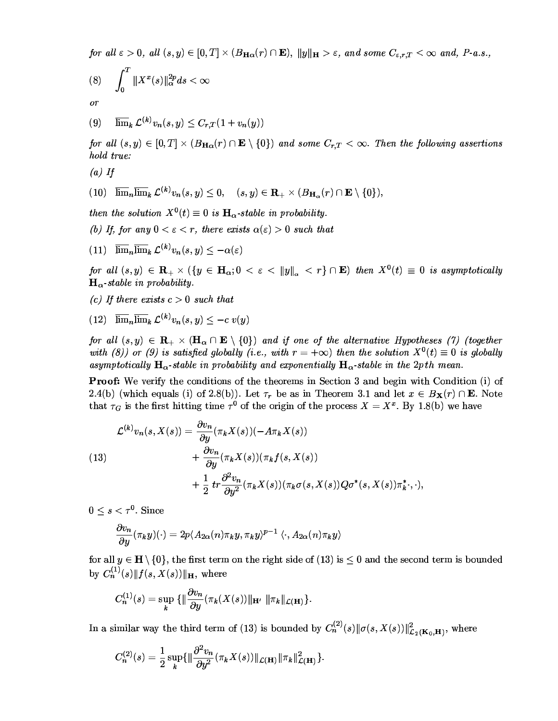for all  $\varepsilon > 0$ , all  $(s, y) \in [0, T] \times (B_{H_0}(r) \cap \mathbf{E})$ ,  $||y||_{H} > \varepsilon$ , and some  $C_{s, r, T} < \infty$  and, P-a.s.,

$$
(8) \qquad \int_0^T \|X^x(s)\|_\alpha^{2p} ds < \infty
$$

<sub>or</sub>

(9)  $\overline{\lim}_{k} \mathcal{L}^{(k)} v_n(s, y) \leq C_{r,T} (1 + v_n(y))$ 

for all  $(s, y) \in [0, T] \times (B_{H_0}(r) \cap \mathbf{E} \setminus \{0\})$  and some  $C_r \tau < \infty$ . Then the following assertions hold true:

 $(a)$  If

$$
(10)\quad \overline{\lim}_n\overline{\lim}_k\,\mathcal{L}^{(k)}v_n(s,y)\leq 0,\quad (s,y)\in \mathbf{R}_+\times (B_{\mathbf{H}_\alpha}(r)\cap \mathbf{E}\setminus\{0\}),
$$

then the solution  $X^0(t) \equiv 0$  is  $\mathbf{H}_{\alpha}$ -stable in probability.

(b) If for any  $0 \leq \varepsilon \leq r$  there exists  $\alpha(\varepsilon) > 0$  such that

(11)  $\overline{\lim}_n \overline{\lim}_k \mathcal{L}^{(k)} v_n(s,y) \leq -\alpha(\varepsilon)$ 

for all  $(s, y) \in \mathbf{R}_{+} \times (\{y \in \mathbf{H}_{\alpha}; 0 < \varepsilon < ||y||_{\alpha} < r\} \cap \mathbf{E})$  then  $X^{0}(t) \equiv 0$  is asymptotically  $\mathbf{H}_{\alpha}$ -stable in probability.

- (c) If there exists  $c > 0$  such that
- (12)  $\overline{\lim}_n \overline{\lim}_k \mathcal{L}^{(k)} v_n(s,y) \leq -c v(y)$

for all  $(s, y) \in \mathbf{R} \times (\mathbf{H} \cap \mathbf{E} \setminus \{0\})$  and if one of the alternative Hypotheses (7) (together with (8)) or (9) is satisfied alobally (i.e. with  $r = +\infty$ ) then the solution  $X^0(t) = 0$  is alobally asymptotically  $H_{\alpha}$ -stable in probability and exponentially  $H_{\alpha}$ -stable in the 2pth mean.

-=-BA03-?/0/6/B03-03-/-@6-?0/E2-H703/0//B 2.4(b) (which equals (i) of 2.8(b)). Let  $\tau_{\tau}$  be as in Theorem 3.1 and let  $x \in B_{\mathbf{v}}(r) \cap \mathbf{E}$ . Note that  $\tau_c$  is the first hitting time  $\tau^0$  of the origin of the process  $X = X^x$ . By 1.8(b) we have

(13)  
\n
$$
\mathcal{L}^{(k)}v_n(s, X(s)) = \frac{\partial v_n}{\partial y}(\pi_k X(s))(-A\pi_k X(s)) + \frac{\partial v_n}{\partial y}(\pi_k X(s))(\pi_k f(s, X(s)) + \frac{1}{2}tr\frac{\partial^2 v_n}{\partial y^2}(\pi_k X(s))(\pi_k \sigma(s, X(s))Q\sigma^*(s, X(s))\pi_k^*, \cdot),
$$

 $0 \leq s < \tau^0$  Since

$$
\frac{\partial v_n}{\partial y}(\pi_k y)(\cdot)=2p\langle A_{2\alpha}(n)\pi_k y,\pi_k y\rangle^{p-1}\,\langle \cdot,A_{2\alpha}(n)\pi_k y\rangle
$$

for all  $u \in H \setminus \{0\}$  the first term on the right side of (13) is  $\leq 0$  and the second term is bounded by  $C_n^{(1)}(s)$  of  $f(s, X(s))$  for where

$$
C_n^{(1)}(s)=\sup_{\boldsymbol{k}}\ \{\|\frac{\partial v_n}{\partial y}(\pi_{\boldsymbol{k}}(X(s))\|_{\mathbf{H}'}\ \|\pi_{\boldsymbol{k}}\|_{\mathcal{L}(\mathbf{H})}\}.
$$

In a similar way the third term of (13) is bounded by  $C_n^{(2)}(s) || \sigma(s, X(s)) ||^2_{\mathcal{L}_s(K_2, \mathbf{H})}$ , where

$$
C_n^{(2)}(s) = \frac{1}{2}\sup_{k}\{\|\frac{\partial^2 v_n}{\partial y^2}(\pi_k X(s))\|_{\mathcal{L}(\mathbf{H})}\|\pi_k\|_{\mathcal{L}(\mathbf{H})}^2\}.
$$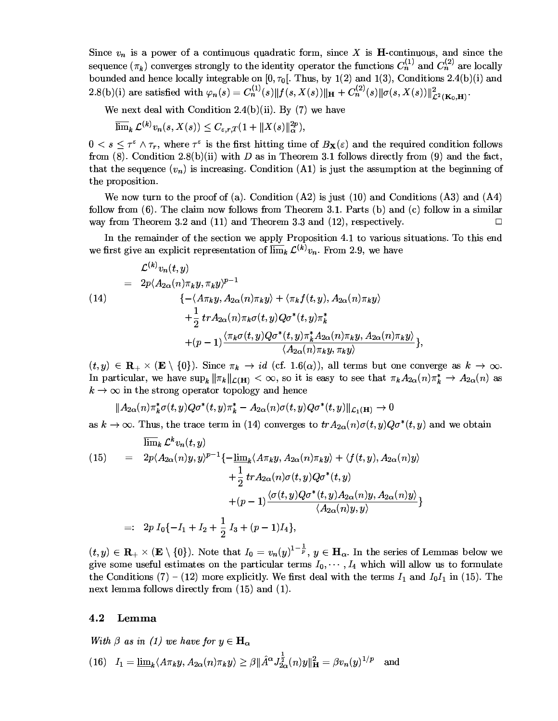Since  $v_n$  is a power of a continuous quadratic form, since X is **H**-continuous, and since the sequence  $(\pi_k)$  converges strongly to the identity operator the functions  $C_n^{(1)}$  and  $C_n^{(2)}$  are locally bounded and hence locally integrable on [0,  $\tau_0$ ]. Thus, by 1(2) and 1(3), Conditions 2.4(b)(i) and 2.8(b)(i) are satisfied with  $\varphi_n(s) = C_n^{(1)}(s) \| f(s, X(s)) \|_{\mathbf{H}} + C_n^{(2)}(s) \| \sigma(s, X(s)) \|_{\mathcal{L}^2(\mathbf{K}_0, \mathbf{H})}^2$ .

We next deal with Condition 2.4(b)(ii). By  $(7)$  we have

$$
\overline{\lim}_k \mathcal{L}^{(k)} v_n(s, X(s)) \leq C_{\varepsilon,r,T} (1 + \|X(s)\|_{\alpha}^{2p}),
$$

 $0 < s \leq \tau^{\varepsilon} \wedge \tau_r$ , where  $\tau^{\varepsilon}$  is the first hitting time of  $B_{\mathbf{X}}(\varepsilon)$  and the required condition follows from (8). Condition 2.8(b)(ii) with D as in Theorem 3.1 follows directly from (9) and the fact, that the sequence  $(v_n)$  is increasing. Condition (A1) is just the assumption at the beginning of the proposition.

We now turn to the proof of (a). Condition  $(A2)$  is just  $(10)$  and Conditions  $(A3)$  and  $(A4)$ follow from (6). The claim now follows from Theorem 3.1. Parts (b) and (c) follow in a similar way from Theorem 3.2 and  $(11)$  and Theorem 3.3 and  $(12)$ , respectively.  $\Box$ 

In the remainder of the section we apply Proposition 4.1 to various situations. To this end we first give an explicit representation of  $\overline{\lim}_{k} \mathcal{L}^{(k)} v_n$ . From 2.9, we have

(14)  
\n
$$
\mathcal{L}^{(k)}v_n(t, y) = 2p\langle A_{2\alpha}(n)\pi_k y, \pi_k y \rangle^{p-1} + \left\{-(A\pi_k y, A_{2\alpha}(n)\pi_k y) + \langle \pi_k f(t, y), A_{2\alpha}(n)\pi_k y \rangle + \frac{1}{2} tr A_{2\alpha}(n)\pi_k \sigma(t, y)Q\sigma^*(t, y)\pi_k^* + (p-1)\frac{\langle \pi_k \sigma(t, y)Q\sigma^*(t, y)\pi_k^* A_{2\alpha}(n)\pi_k y, A_{2\alpha}(n)\pi_k y \rangle}{\langle A_{2\alpha}(n)\pi_k y, \pi_k y \rangle} \right\}
$$

 $(t, y) \in \mathbf{R}_{+} \times (\mathbf{E} \setminus \{0\})$ . Since  $\pi_k \to id$  (cf. 1.6( $\alpha$ )), all terms but one converge as  $k \to \infty$ . In particular, we have  $\sup_k \|\pi_k\|_{\mathcal{L}(\mathbf{H})} < \infty$ , so it is easy to see that  $\pi_k A_{2\alpha}(n)\pi_k^* \to A_{2\alpha}(n)$  as  $k \to \infty$  in the strong operator topology and hence

$$
||A_{2\alpha}(n)\pi_k^*\sigma(t,y)Q\sigma^*(t,y)\pi_k^*-A_{2\alpha}(n)\sigma(t,y)Q\sigma^*(t,y)||_{\mathcal{L}_1(\mathbf{H})}\to 0
$$

as  $k \to \infty$ . Thus, the trace term in (14) converges to  $tr A_{2\alpha}(n) \sigma(t, y) Q \sigma^*(t, y)$  and we obtain

$$
(15) \quad = \quad 2p\langle A_{2\alpha}(n)y, y\rangle^{p-1}\{-\underline{\lim}_{k}\langle A\pi_{k}y, A_{2\alpha}(n)\pi_{k}y\rangle + \langle f(t, y), A_{2\alpha}(n)y\rangle \n+ \frac{1}{2} tr A_{2\alpha}(n)\sigma(t, y)Q\sigma^{*}(t, y) \n+ (p - 1)\frac{\langle \sigma(t, y)Q\sigma^{*}(t, y)A_{2\alpha}(n)y, A_{2\alpha}(n)y\rangle}{\langle A_{2\alpha}(n)y, y\rangle} \}
$$
\n
$$
=: \quad 2p \ I_{0}\{-I_{1} + I_{2} + \frac{1}{2} I_{3} + (p - 1)I_{4}\},
$$

 $(t, y) \in \mathbf{R}_{+} \times (\mathbf{E} \setminus \{0\})$ . Note that  $I_0 = v_n(y)^{1-\frac{1}{p}}, y \in \mathbf{H}_{\alpha}$ . In the series of Lemmas below we give some useful estimates on the particular terms  $I_0, \dots, I_4$  which will allow us to formulate the Conditions (7) – (12) more explicitly. We first deal with the terms  $I_1$  and  $I_0I_1$  in (15). The next lemma follows directly from  $(15)$  and  $(1)$ .

#### $4.2$ Lemma

With  $\beta$  as in (1) we have for  $y \in \mathbf{H}_{\alpha}$ 

(16) 
$$
I_1 = \underline{\lim}_k \langle A\pi_k y, A_{2\alpha}(n)\pi_k y \rangle \ge \beta \|\hat{A}^{\alpha} J_{2\alpha}^{\frac{1}{2}}(n)y\|_{\mathbf{H}}^2 = \beta v_n(y)^{1/p} \text{ and}
$$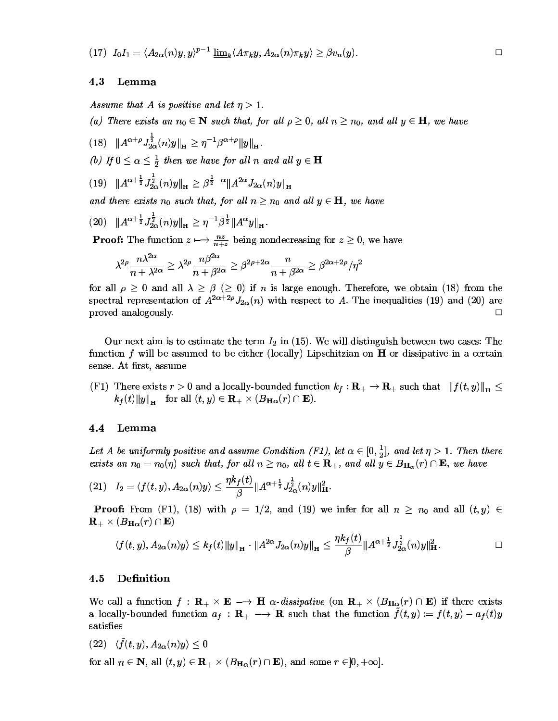$$
(17)\ \ I_0I_1=\langle A_{2\alpha}(n)y,y\rangle^{p-1}\ \underline{\lim}_k\langle A\pi_ky,A_{2\alpha}(n)\pi_ky\rangle\geq \beta v_n(y).
$$

#### 4.3 Lemma

Assume that A is positive and let  $\eta > 1$ .

(a) There exists an  $n_0 \in \mathbb{N}$  such that, for all  $\rho \geq 0$ , all  $n \geq n_0$ , and all  $y \in \mathbb{H}$ , we have

(18)  $||A^{\alpha+\rho}J_{2\alpha}^{\frac{1}{2}}(n)y||_{\mathbf{H}} \geq \eta^{-1}\beta^{\alpha+\rho}||y||_{\mathbf{H}}.$ (b) If  $0 \leq \alpha \leq \frac{1}{2}$  then we have for all n and all  $y \in H$ 

$$
(19) \quad \|A^{\alpha + \frac{1}{2}} J_{2\alpha}^{\frac{1}{2}}(n)y\|_{H} \geq \beta^{\frac{1}{2} - \alpha} \|A^{2\alpha} J_{2\alpha}(n)y\|_{H}
$$

and there exists  $n_0$  such that, for all  $n \geq n_0$  and all  $y \in \mathbf{H}$ , we have

$$
(20) \quad \|A^{\alpha + \frac{1}{2}} J_{2\alpha}^{\frac{1}{2}}(n)y\|_{\mathbf{H}} \ge \eta^{-1} \beta^{\frac{1}{2}} \|A^{\alpha} y\|_{\mathbf{H}}
$$

**Proof:** The function  $z \mapsto \frac{nz}{n+z}$  being nondecreasing for  $z \ge 0$ , we have

$$
\lambda^{2\rho}\frac{n\lambda^{2\alpha}}{n+\lambda^{2\alpha}}\geq \lambda^{2\rho}\frac{n\beta^{2\alpha}}{n+\beta^{2\alpha}}\geq \beta^{2\rho+2\alpha}\frac{n}{n+\beta^{2\alpha}}\geq \beta^{2\alpha+2\rho}/\eta^2
$$

for all  $\rho \geq 0$  and all  $\lambda \geq \beta$  ( $\geq 0$ ) if *n* is large enough. Therefore, we obtain (18) from the spectral representation of  $A^{2\alpha+2\rho}J_{2\alpha}(n)$  with respect to A. The inequalities (19) and (20) are proved analogously.  $\Box$ 

Our next aim is to estimate the term  $I_2$  in (15). We will distinguish between two cases: The function  $f$  will be assumed to be either (locally) Lipschitzian on  $H$  or dissipative in a certain sense. At first, assume

(F1) There exists  $r > 0$  and a locally-bounded function  $k_f : \mathbf{R}_+ \to \mathbf{R}_+$  such that  $|| f(t, y) ||_{\mathbf{H}} \le$  $k_f(t) \|y\|_{\mathbf{H}}$  for all  $(t, y) \in \mathbf{R}_+ \times (B_{\mathbf{H}\alpha}(r) \cap \mathbf{E}).$ 

#### 4.4 Lemma

Let A be uniformly positive and assume Condition (F1), let  $\alpha \in [0, \frac{1}{2}]$ , and let  $\eta > 1$ . Then there exists an  $n_0 = n_0(\eta)$  such that, for all  $n \ge n_0$ , all  $t \in \mathbf{R}_+$ , and all  $y \in B_{\mathbf{H}_{\alpha}}(r) \cap \mathbf{E}$ , we have

(21) 
$$
I_2 = \langle f(t, y), A_{2\alpha}(n)y \rangle \le \frac{\eta k_f(t)}{\beta} \|A^{\alpha + \frac{1}{2}} J_{2\alpha}^{\frac{1}{2}}(n)y\|_{\mathbf{H}}^2
$$

**Proof:** From (F1), (18) with  $\rho = 1/2$ , and (19) we infer for all  $n \geq n_0$  and all  $(t, y) \in$  $\mathbf{R}_{+}\times\left(B_{\mathbf{H}\alpha}(r)\cap\mathbf{E}\right)$ 

$$
\langle f(t,y), A_{2\alpha}(n)y \rangle \leq k_f(t) \|y\|_{\mathbf{H}} \cdot \|A^{2\alpha} J_{2\alpha}(n)y\|_{\mathbf{H}} \leq \frac{\eta k_f(t)}{\beta} \|A^{\alpha+\frac{1}{2}} J_{2\alpha}^{\frac{1}{2}}(n)y\|_{\mathbf{H}}^2.
$$

#### Definition  $4.5$

We call a function  $f : \mathbf{R}_+ \times \mathbf{E} \longrightarrow \mathbf{H}$   $\alpha$ -dissipative (on  $\mathbf{R}_+ \times (B_{\mathbf{H}\alpha}(r) \cap \mathbf{E})$  if there exists a locally-bounded function  $a_f : \mathbf{R}_+ \longrightarrow \mathbf{R}$  such that the function  $\tilde{f}(t,y) := f(t,y) - a_f(t)y$ satisfies

 $(22) \langle \tilde{f}(t,y), A_{2\alpha}(n)y \rangle \leq 0$ 

for all  $n \in \mathbb{N}$ , all  $(t, y) \in \mathbb{R}_+ \times (B_{\mathbf{H}\alpha}(r) \cap \mathbf{E})$ , and some  $r \in ]0, +\infty]$ .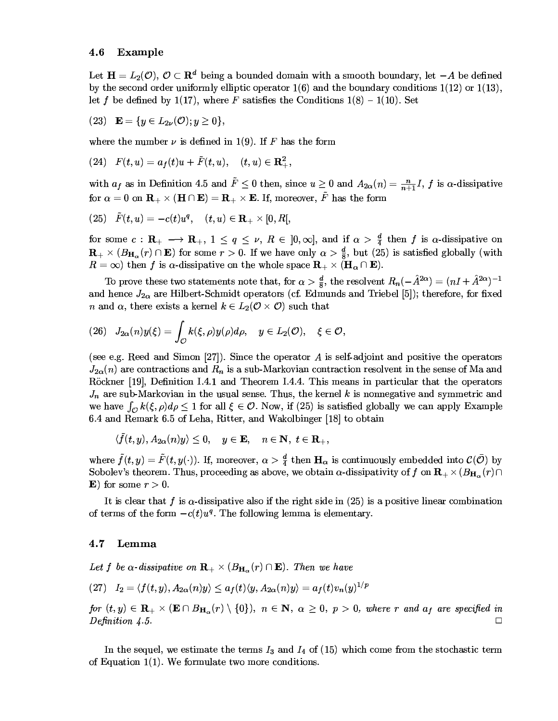#### 4.6 Example

Let  $\mathbf{H} = L_2(\mathcal{O})$ ,  $\mathcal{O} \subset \mathbf{R}^d$  being a bounded domain with a smooth boundary, let  $-A$  be defined by the second order uniformly elliptic operator  $1(6)$  and the boundary conditions  $1(12)$  or  $1(13)$ , let f be defined by 1(17), where F satisfies the Conditions  $1(8) - 1(10)$ . Set

$$
(23) \quad {\bf E}=\{y\in L_{2\nu}({\mathcal O}); y\geq 0\},
$$

where the number  $\nu$  is defined in 1(9). If F has the form

$$
(24)\quad F(t,u)=a_f(t)u+\tilde{F}(t,u),\quad (t,u)\in\mathbf{R}^2_+
$$

with  $a_f$  as in Definition 4.5 and  $\tilde{F} \le 0$  then, since  $u \ge 0$  and  $A_{2\alpha}(n) = \frac{n}{n+1}I$ , f is  $\alpha$ -dissipative for  $\alpha = 0$  on  $\mathbf{R}_{+} \times (\mathbf{H} \cap \mathbf{E}) = \mathbf{R}_{+} \times \mathbf{E}$ . If, moreover,  $\tilde{F}$  has the form

$$
(25) \quad \tilde{F}(t,u)=-c(t)u^q, \quad (t,u)\in \mathbf{R}_+\times [0,R[,
$$

for some  $c: \mathbf{R}_{+} \longrightarrow \mathbf{R}_{+}$ ,  $1 \leq q \leq \nu$ ,  $R \in [0, \infty]$ , and if  $\alpha > \frac{d}{4}$  then f is  $\alpha$ -dissipative on  $\mathbf{R}_{+}\times(B_{\mathbf{H}_{\alpha}}(r)\cap\mathbf{E})$  for some  $r>0$ . If we have only  $\alpha>\frac{d}{8}$ , but (25) is satisfied globally (with  $R = \infty$ ) then f is  $\alpha$ -dissipative on the whole space  $\mathbf{R}_{+} \times (\mathbf{H}_{\alpha} \cap \mathbf{E})$ .

To prove these two statements note that, for  $\alpha > \frac{d}{8}$ , the resolvent  $R_n(-\hat{A}^{2\alpha}) = (nI + \hat{A}^{2\alpha})^{-1}$ and hence  $J_{2\alpha}$  are Hilbert-Schmidt operators (cf. Edmunds and Triebel [5]); therefore, for fixed *n* and  $\alpha$ , there exists a kernel  $k \in L_2(\mathcal{O} \times \mathcal{O})$  such that

$$
(26) \quad J_{2\alpha}(n)y(\xi) = \int_{\mathcal{O}} k(\xi,\rho)y(\rho)d\rho, \quad y \in L_2(\mathcal{O}), \quad \xi \in \mathcal{O},
$$

(see e.g. Reed and Simon [27]). Since the operator A is self-adjoint and positive the operators  $J_{2\alpha}(n)$  are contractions and  $R_n$  is a sub-Markovian contraction resolvent in the sense of Ma and Röckner [19], Definition I.4.1 and Theorem I.4.4. This means in particular that the operators  $J_n$  are sub-Markovian in the usual sense. Thus, the kernel k is nonnegative and symmetric and we have  $\int_{\Omega} k(\xi, \rho) d\rho \leq 1$  for all  $\xi \in \mathcal{O}$ . Now, if (25) is satisfied globally we can apply Example 6.4 and Remark 6.5 of Leha, Ritter, and Wakolbinger [18] to obtain

 $\langle \tilde{f}(t, y), A_{2\alpha}(n)y \rangle \leq 0, \quad y \in \mathbf{E}, \quad n \in \mathbf{N}, t \in \mathbf{R}_{+},$ 

where  $\tilde{f}(t, y) = \tilde{F}(t, y(\cdot))$ . If, moreover,  $\alpha > \frac{d}{4}$  then  $\mathbf{H}_{\alpha}$  is continuously embedded into  $\mathcal{C}(\bar{\mathcal{O}})$  by Sobolev's theorem. Thus, proceeding as above, we obtain  $\alpha$ -dissipativity of f on  $\mathbf{R}_{+} \times (B_{\mathbf{H}_{\alpha}}(r) \cap$ **E**) for some  $r > 0$ .

It is clear that f is  $\alpha$ -dissipative also if the right side in (25) is a positive linear combination of terms of the form  $-c(t)u^q$ . The following lemma is elementary.

#### $4.7$ Lemma

Let f be  $\alpha$ -dissipative on  $\mathbf{R}_{+} \times (B_{\mathbf{H}_{\alpha}}(r) \cap \mathbf{E})$ . Then we have

$$
(27) \quad I_2=\langle f(t,y), A_{2\alpha}(n)y\rangle \leq a_f(t)\langle y, A_{2\alpha}(n)y\rangle = a_f(t)v_n(y)^{1/p}
$$

for  $(t, y) \in \mathbf{R}_{+} \times (\mathbf{E} \cap B_{\mathbf{H}_{\alpha}}(r) \setminus \{0\}),\ n \in \mathbf{N},\ \alpha \geq 0,\ p > 0,\ where\ r\ and\ a_{f}$  are specified in Definition  $4.5$ .  $\Box$ 

In the sequel, we estimate the terms  $I_3$  and  $I_4$  of (15) which come from the stochastic term of Equation  $1(1)$ . We formulate two more conditions.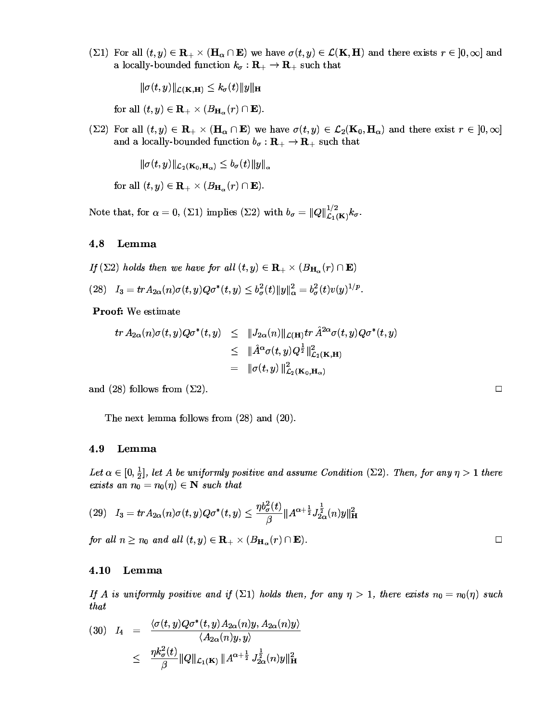(21) For all  $(t, y) \in \mathbf{R}_{+} \times (\mathbf{H}_{\alpha} \cap \mathbf{E})$  we have  $\sigma(t, y) \in \mathcal{L}(\mathbf{K}, \mathbf{H})$  and there exists  $r \in [0, \infty]$  and a locally-bounded function  $k_{\sigma}: \mathbf{R}_{+} \to \mathbf{R}_{+}$  such that

$$
\|\sigma(t,y)\|_{\mathcal{L}(\mathbf{K},\mathbf{H})}\leq k_{\sigma}(t)\|y\|_{\mathbf{H}}
$$

for all  $(t, y) \in \mathbf{R}_{+} \times (B_{\mathbf{H}_{\alpha}}(r) \cap \mathbf{E}).$ 

 $(\Sigma 2)$  For all  $(t, y) \in \mathbf{R}_+ \times (\mathbf{H}_\alpha \cap \mathbf{E})$  we have  $\sigma(t, y) \in \mathcal{L}_2(\mathbf{K}_0, \mathbf{H}_\alpha)$  and there exist  $r \in [0, \infty]$ and a locally-bounded function  $b_{\sigma}: \mathbf{R}_{+} \to \mathbf{R}_{+}$  such that

$$
\|\sigma(t,y)\|_{\mathcal{L}_2(\mathbf{K}_0,\mathbf{H}_\alpha)} \le b_\sigma(t) \|y\|_\alpha
$$

for all  $(t, y) \in \mathbf{R}_{+} \times (B_{\mathbf{H}_{\alpha}}(r) \cap \mathbf{E}).$ 

Note that, for  $\alpha = 0$ , ( $\Sigma$ 1) implies ( $\Sigma$ 2) with  $b_{\sigma} = ||Q||_{\mathcal{L}_1(\mathbf{K})}^{1/2} k_{\sigma}$ .

#### 4.8 Lemma

If ( $\Sigma$ 2) holds then we have for all  $(t, y) \in \mathbf{R}_{+} \times (B_{\mathbf{H}_{\alpha}}(r) \cap \mathbf{E})$ 

(28)  $I_3 = tr A_{2\alpha}(n) \sigma(t, y) Q \sigma^*(t, y) \leq b_\sigma^2(t) \|y\|_\alpha^2 = b_\sigma^2(t) v(y)^{1/p}$ .

Proof: We estimate

$$
tr A_{2\alpha}(n)\sigma(t,y)Q\sigma^*(t,y) \leq ||J_{2\alpha}(n)||_{\mathcal{L}(\mathbf{H})}tr \hat{A}^{2\alpha}\sigma(t,y)Q\sigma^*(t,y)
$$
  

$$
\leq ||\hat{A}^{\alpha}\sigma(t,y)Q^{\frac{1}{2}}||_{\mathcal{L}_2(\mathbf{K},\mathbf{H})}^2
$$
  

$$
= ||\sigma(t,y)||_{\mathcal{L}_2(\mathbf{K}_0,\mathbf{H}_\alpha)}^2
$$

and (28) follows from  $(\Sigma 2)$ .

The next lemma follows from  $(28)$  and  $(20)$ .

#### 4.9 Lemma

Let  $\alpha \in [0, \frac{1}{2}]$ , let A be uniformly positive and assume Condition ( $\Sigma$ 2). Then, for any  $\eta > 1$  there exists an  $n_0 = n_0(\eta) \in \mathbb{N}$  such that

$$
(29)\quad I_3= trA_{2\alpha}(n)\sigma(t,y)Q\sigma^*(t,y)\leq \frac{\eta b_{\sigma}^2(t)}{\beta}\|A^{\alpha+\frac{1}{2}}J_{2\alpha}^{\frac{1}{2}}(n)y\|_{\mathbf{H}}^2
$$

for all  $n \geq n_0$  and all  $(t, y) \in \mathbf{R}_+ \times (B_{\mathbf{H}_{\alpha}}(r) \cap \mathbf{E}).$ 

#### Lemma 4.10

If A is uniformly positive and if ( $\Sigma$ 1) holds then, for any  $\eta > 1$ , there exists  $n_0 = n_0(\eta)$  such that

$$
(30) \quad I_4 \quad = \quad \frac{\langle \sigma(t,y)Q\sigma^*(t,y)A_{2\alpha}(n)y, A_{2\alpha}(n)y \rangle}{\langle A_{2\alpha}(n)y, y \rangle}
$$
\n
$$
\leq \quad \frac{\eta k_\sigma^2(t)}{\beta} \|Q\|_{\mathcal{L}_1(\mathbf{K})} \|A^{\alpha + \frac{1}{2}} J_{2\alpha}^{\frac{1}{2}}(n)y\|_{\mathbf{H}}^2
$$

 $\Box$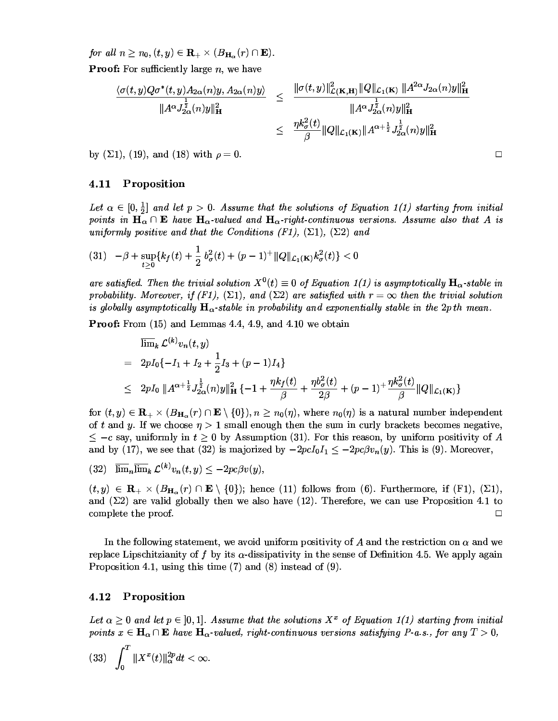for all  $n \geq n_0, (t, y) \in \mathbf{R}_{+} \times (B_{\mathbf{H}_{\alpha}}(r) \cap \mathbf{E}).$ **Proof:** For sufficiently large  $n$ , we have

$$
\frac{\langle \sigma(t,y)Q\sigma^*(t,y)A_{2\alpha}(n)y,A_{2\alpha}(n)y\rangle}{\|A^{\alpha}J_{2\alpha}^{\frac{1}{2}}(n)y\|_{\mathbf{H}}^2} \leq \frac{\|\sigma(t,y)\|_{\mathcal{L}(\mathbf{K},\mathbf{H})}^2 \|Q\|_{\mathcal{L}_1(\mathbf{K})} \|A^{2\alpha}J_{2\alpha}(n)y\|_{\mathbf{H}}^2}{\|A^{\alpha}J_{2\alpha}^{\frac{1}{2}}(n)y\|_{\mathbf{H}}^2}
$$

$$
\leq \frac{\eta k_{\sigma}^2(t)}{\beta} \|Q\|_{\mathcal{L}_1(\mathbf{K})} \|A^{\alpha+\frac{1}{2}}J_{2\alpha}^{\frac{1}{2}}(n)y\|_{\mathbf{H}}^2
$$

by ( $\Sigma$ 1), (19), and (18) with  $\rho = 0$ .

#### 4.11 Proposition

Let  $\alpha \in [0, \frac{1}{2}]$  and let  $p > 0$ . Assume that the solutions of Equation 1(1) starting from initial points in  $H_{\alpha} \cap E$  have  $H_{\alpha}$ -valued and  $H_{\alpha}$ -right-continuous versions. Assume also that A is uniformly positive and that the Conditions (F1),  $(\Sigma 1)$ ,  $(\Sigma 2)$  and

$$
(31) \quad -\beta + \sup_{t\geq 0} \{ k_f(t) + \frac{1}{2} b_\sigma^2(t) + (p-1)^+ \|Q\|_{\mathcal{L}_1(\mathbf{K})} k_\sigma^2(t) \} < 0
$$

are satisfied. Then the trivial solution  $X^0(t) \equiv 0$  of Equation 1(1) is asymptotically  $\mathbf{H}_{\alpha}$ -stable in probability. Moreover, if  $(F1)$ ,  $(\Sigma 1)$ , and  $(\Sigma 2)$  are satisfied with  $r = \infty$  then the trivial solution is globally asymptotically  $H_{\alpha}$ -stable in probability and exponentially stable in the 2pth mean.

**Proof:** From (15) and Lemmas 4.4, 4.9, and 4.10 we obtain

$$
\begin{aligned}\n&\overline{\lim}_{k} \mathcal{L}^{(k)} v_{n}(t, y) \\
&= 2pI_{0} \{-I_{1} + I_{2} + \frac{1}{2}I_{3} + (p - 1)I_{4}\} \\
&\leq 2pI_{0} \, \|A^{\alpha + \frac{1}{2}} J_{2\alpha}^{\frac{1}{2}}(n)y\|_{\mathbf{H}}^{2} \{-1 + \frac{\eta k_{f}(t)}{\beta} + \frac{\eta b_{\sigma}^{2}(t)}{2\beta} + (p - 1)^{+} \frac{\eta k_{\sigma}^{2}(t)}{\beta} \|Q\|_{\mathcal{L}_{1}(\mathbf{K})}\n\end{aligned}
$$

for  $(t, y) \in \mathbf{R}_{+} \times (B_{\mathbf{H}_{\alpha}}(r) \cap \mathbf{E} \setminus \{0\}), n \geq n_0(\eta)$ , where  $n_0(\eta)$  is a natural number independent of t and y. If we choose  $\eta > 1$  small enough then the sum in curly brackets becomes negative,  $\leq -c$  say, uniformly in  $t \geq 0$  by Assumption (31). For this reason, by uniform positivity of A and by (17), we see that (32) is majorized by  $-2pcI_0I_1 \le -2pc\beta v_n(y)$ . This is (9). Moreover,

(32)  $\overline{\lim}_n \overline{\lim}_k \mathcal{L}^{(k)} v_n(t,y) \leq -2pc \beta v(y),$ 

 $(t, y) \in \mathbf{R}_{+} \times (B_{\mathbf{H}_{\alpha}}(r) \cap \mathbf{E} \setminus \{0\})$ ; hence (11) follows from (6). Furthermore, if (F1), ( $\Sigma$ 1), and  $(\Sigma 2)$  are valid globally then we also have (12). Therefore, we can use Proposition 4.1 to complete the proof.  $\Box$ 

In the following statement, we avoid uniform positivity of A and the restriction on  $\alpha$  and we replace Lipschitzianity of f by its  $\alpha$ -dissipativity in the sense of Definition 4.5. We apply again Proposition 4.1, using this time  $(7)$  and  $(8)$  instead of  $(9)$ .

#### 4.12 Proposition

Let  $\alpha \geq 0$  and let  $p \in [0,1]$ . Assume that the solutions  $X^x$  of Equation 1(1) starting from initial points  $x \in \mathbf{H}_{\alpha} \cap \mathbf{E}$  have  $\mathbf{H}_{\alpha}$ -valued, right-continuous versions satisfying P-a.s., for any  $T > 0$ ,

$$
(33)\quad \int_0^T \|X^x(t)\|_{\alpha}^{2p} dt < \infty
$$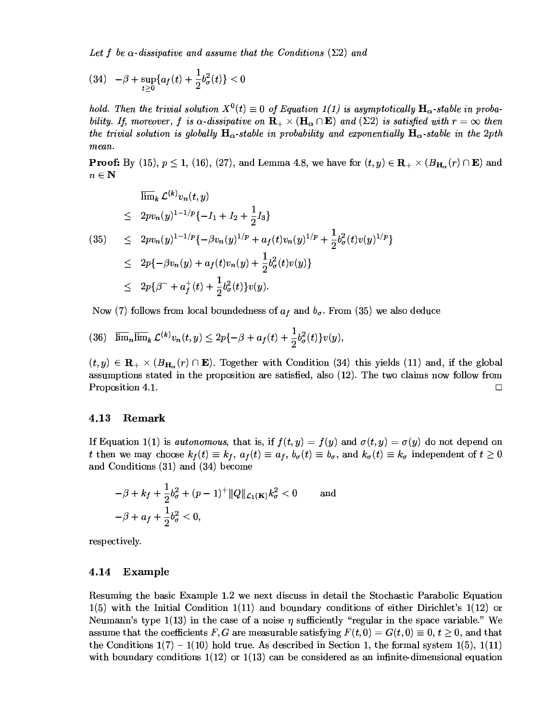Let f be  $\alpha$ -dissipative and assume that the Conditions ( $\Sigma$ 2) and

$$
(34) \quad -\beta + \sup_{t \geq 0} \{ a_f(t) + \frac{1}{2} b_\sigma^2(t) \} < 0
$$

bold Then the trivial solution  $X^0(t) = 0$  of Equation 1(1) is asymptotically  $H_{\infty}$ -stable in probability If moreover f is  $\alpha$ -dissinative on  $\mathbf{R}_+ \times (\mathbf{H}_+ \cap \mathbf{E})$  and  $(\Sigma 2)$  is satisfied with  $r = \infty$  then the trivial solution is globally  $H_{\alpha}$ -stable in probability and exponentially  $H_{\alpha}$ -stable in the 2pth mean.

**Proof:** By (15),  $p \le 1$ , (16), (27), and Lemma 4.8, we have for  $(t, y) \in \mathbf{R}_{+} \times (B_{\mathbf{H}}^-(r) \cap \mathbf{E})$  and  $n\in {\bf N}$ 

$$
\begin{aligned}\n&\lim_{k} \mathcal{L}^{(k)} v_n(t, y) \\
&\leq 2pv_n(y)^{1 - 1/p} \{-I_1 + I_2 + \frac{1}{2}I_3\} \\
&\leq 2pv_n(y)^{1 - 1/p} \{-\beta v_n(y)^{1/p} + a_f(t)v_n(y)^{1/p} + \frac{1}{2}b_\sigma^2(t)v(y)^{1/p}\} \\
&\leq 2p \{-\beta v_n(y) + a_f(t)v_n(y) + \frac{1}{2}b_\sigma^2(t)v(y)\} \\
&\leq 2p \{\beta^- + a_f^+(t) + \frac{1}{2}b_\sigma^2(t)\}v(y).\n\end{aligned}
$$

Now (7) follows from local boundedness of  $a_{\ell}$  and  $b_{\ell}$ . From (35) we also deduce

$$
(36)\quad \overline{\lim}_n\overline{\lim}_k\ \mathcal{L}^{(k)}v_n(t,y)\leq 2p\{-\beta+a_f(t)+\frac{1}{2}b_\sigma^2(t)\}v(y),
$$

 $(t, y) \in \mathbf{R}_{++} \times (B_{\mathbf{H}}^-(r) \cap \mathbf{E})$ . Together with Condition (34) this vields (11) and, if the global assumptions stated in the proposition are satisfied also  $(12)$ . The two claims now follow from Proposition 4.1. ta de la construcción de la construcción de la construcción de la construcción de la construcción de la construcción

## 4.13 Remark

If Equation 1(1) is autonomous that is if  $f(t, y) = f(y)$  and  $\sigma(t, y) = \sigma(y)$  do not depend on t then we may choose  $k_4(t) = k_4$ ,  $a_4(t) = a_4$ ,  $b_4(t) = b_5$ , and  $k_4(t) = k_5$  independent of  $t > 0$ and Conditions  $(31)$  and  $(34)$  become

$$
-\beta + k_f + \frac{1}{2}b_{\sigma}^2 + (p-1)^+ \|Q\|_{\mathcal{L}_1(\mathbf{K})} k_{\sigma}^2 < 0 \qquad \text{and}
$$
  

$$
-\beta + a_f + \frac{1}{2}b_{\sigma}^2 < 0,
$$

-6-?0=respectively.<br>4.14 Example

Resuming the basic Example 1.2 we next discuss in detail the Stochastic Parabolic Equation  $1(5)$  with the Initial Condition  $1(11)$  and boundary conditions of either Dirichlet's  $1(12)$  or Neumann's type  $1(13)$  in the case of a noise *n* sufficiently "regular in the space variable" We assume that the coefficients F G are measurable satisfying  $F(t, 0) = G(t, 0) = 0, t > 0$  and that the Conditions  $1(7) = 1(10)$  hold true. As described in Section 1, the formal system  $1(5)$ ,  $1(11)$ with boundary conditions  $1(12)$  or  $1(13)$  can be considered as an infinite dimensional equation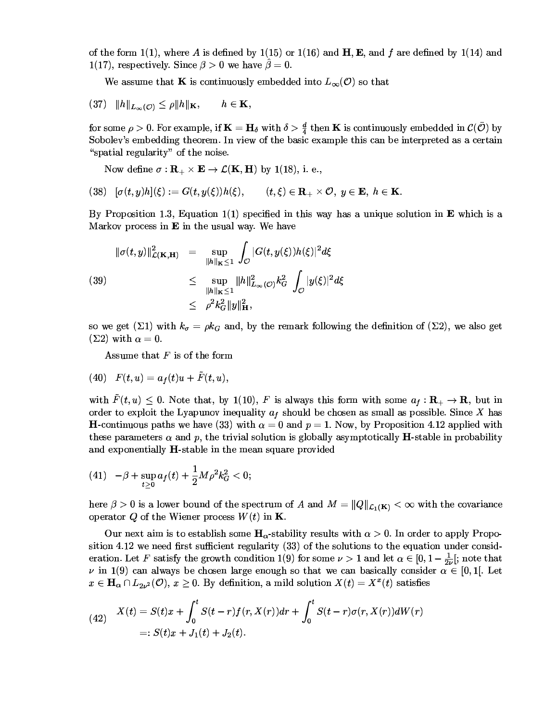of the form  $1(1)$  where A is defined by  $1(15)$  or  $1(16)$  and H E and f are defined by  $1(14)$  and 1(17) respectively Since  $\beta > 0$  we have  $\hat{\beta} = 0$ 

We assume that K is continuously embedded into L  $(\mathcal{O})$  so that

$$
(37) \t ||h||_{L_{\infty}(\mathcal{O})} \leq \rho ||h||_{\mathbf{K}}, \t h \in \mathbf{K},
$$

for some  $\rho > 0$ . For example, if  $\mathbf{K} = \mathbf{H}$ , with  $\delta > \frac{d}{2}$  then K is continuously embedded in  $\mathcal{C}(\bar{\mathcal{O}})$  by Sobolev's embedding theorem. In view of the basic example this can be interpreted as a certain  $\mu$  and  $\mu$  and  $\mu$  and  $\mu$  and  $\mu$ 

Now define  $\sigma: \mathbb{R}_+ \times \mathbb{E} \to \mathcal{L}(\mathbb{K}, \mathbb{H})$  by 1(18), i. e..

$$
(38)\quad [\sigma(t,y)h](\xi):=G(t,y(\xi))h(\xi),\qquad (t,\xi)\in\mathbf{R}_{+}\times\mathcal{O},\;y\in\mathbf{E},\;h\in\mathbf{K}.
$$

By Proposition 1.3. Equation  $1(1)$  specified in this way has a unique solution in E which is a Markov process in  $\mathbf E$  in the usual way. We have

$$
\|\sigma(t,y)\|_{\mathcal{L}(\mathbf{K},\mathbf{H})}^2 = \sup_{\|h\|_{\mathbf{K}} \le 1} \int_{\mathcal{O}} |G(t,y(\xi))h(\xi)|^2 d\xi
$$
  
(39)  

$$
\le \sup_{\|h\|_{\mathbf{K}} \le 1} \|h\|_{L_{\infty}(\mathcal{O})}^2 k_G^2 \int_{\mathcal{O}} |y(\xi)|^2 d\xi
$$
  

$$
\le \rho^2 k_G^2 \|y\|_{\mathbf{H}}^2,
$$

so we get  $(\Sigma 1)$  with  $k_z = \alpha k_z$  and by the remark following the definition of  $(\Sigma 2)$  we also get  $(\Sigma 2)$  with  $\alpha = 0$ .

 $\mathbf{A}$  is a set of  $\mathbf{B}$  is a set of  $\mathbf{A}$  is a set of  $\mathbf{A}$ 

$$
(40)\quad F(t,u)=a_f(t)u+\tilde{F}(t,u),
$$

with  $\tilde{F}(t, u) \leq 0$  Note that by 1(10) F is always this form with some  $a \in \mathbf{R} \to \mathbf{R}$  but in order to exploit the Lyapunov inequality  $a_{\ell}$  should be chosen as small as possible. Since X has **H**-continuous paths we have (33) with  $\alpha = 0$  and  $n = 1$ . Now, by Proposition 4.12 applied with these parameters  $\alpha$  and  $n$  the trivial solution is globally asymptotically **H**-stable in probability and expensatially H stable in the mean square provided

$$
(41)\quad -\beta+\sup_{t\geq 0}a_f(t)+\frac{1}{2}M\rho^2k_G^2<0;
$$

here  $\beta > 0$  is a lower bound of the spectrum of A and  $M = ||Q||_c$  ( $\kappa$ ) <  $\infty$  with the covariance  $\overline{O}$  of the Windows and  $W(t)$  in  $V$ n and a structure of the state of the state of the state of the state of the state of the state of the state o

Our next aim is to establish some  $H_{\alpha}$ -stability results with  $\alpha > 0$  In order to annly Proposition 4.12 we need first sufficient regularity (33) of the solutions to the equation under consideration. Let F satisfy the growth condition 1(9) for some  $\nu > 1$  and let  $\alpha \in [0, 1 - \frac{1}{2}]$ ; note that v in 1(9) can always be chosen large enough so that we can basically consider  $\alpha \in [0, 1]$  Let  $x \in \mathbf{H}$ ,  $\cap L_2$ ,  $\langle \mathcal{O} \rangle$   $x > 0$  By definition a mild solution  $X(t) = X^x(t)$  satisfies **650 Ford Street, Square, Square, Square, Square, Square, Square, Square, Square, Square, Square, Square, Square, Square, Square, Square, Square, Square, Square, Square, Square, Square, Square, Square, Square, Square, Squa** 

(42) 
$$
X(t) = S(t)x + \int_0^t S(t-r)f(r, X(r))dr + \int_0^t S(t-r)\sigma(r, X(r))dW(r) =: S(t)x + J_1(t) + J_2(t).
$$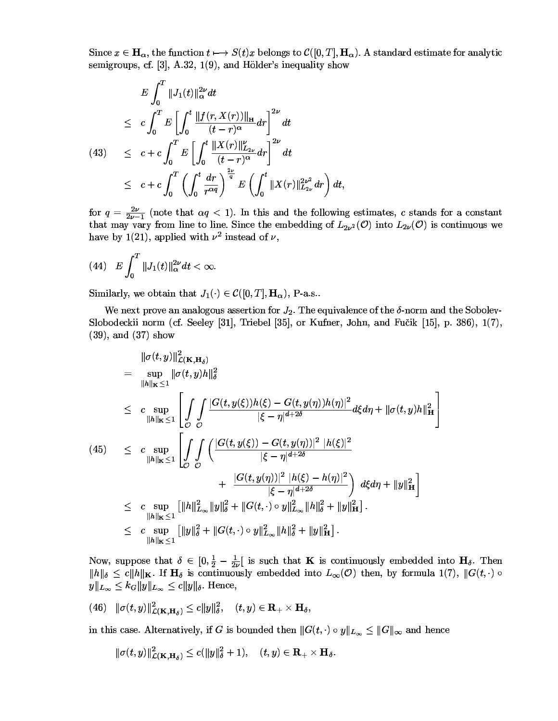Since  $x \in \mathbf{H}$ , the function  $t \mapsto S(t)x$  belongs to  $\mathcal{C}([0, T], \mathbf{H})$ . A standard estimate for analytic semigroups cf  $\left[3\right]$  A 32  $\left[1(9)\right]$  and Hölder's inequality show

$$
E \int_0^T \|J_1(t)\|_{\alpha}^{2\nu} dt
$$
  
\n
$$
\leq c \int_0^T E \left[ \int_0^t \frac{\|f(r, X(r))\|_{\mathbf{H}}}{(t-r)^{\alpha}} dr \right]^{2\nu} dt
$$
  
\n(43) 
$$
\leq c + c \int_0^T E \left[ \int_0^t \frac{\|X(r)\|_{L_{2\nu}}^{\nu}}{(t-r)^{\alpha}} dr \right]^{2\nu} dt
$$
  
\n
$$
\leq c + c \int_0^T \left( \int_0^t \frac{dr}{r^{\alpha q}} \right)^{\frac{2\nu}{q}} E \left( \int_0^t \|X(r)\|_{L_{2\nu}}^{2\nu^2} dr \right) dt,
$$

for  $q = \frac{2\nu}{2\nu-1}$  (note that  $\alpha q < 1$ ). In this and the following estimates, c stands for a constant that may vary from line to line. Since the embedding of  $L_2$ ,  $\mathcal{O}$  into  $L_2$ ,  $\mathcal{O}$  is continuous we have by  $1(21)$  annlied with  $\nu^2$  instead of  $\nu$ 

(44) 
$$
E\int_0^T \|J_1(t)\|_{\alpha}^{2\nu} dt < \infty.
$$

Similarly we obtain that  $J_1(.) \in \mathcal{C}([0, T], \mathbf{H})$ . P-a s

We next prove an analogous assertion for  $J_2$ . The equivalence of the  $\delta$ -norm and the Sobolev-Slobodeckii norm (cf. Seeley [31]. Triebel [35]. or Kufner. John. and Fučik [15]. p. 386). 1(7). The  $(39)$  and  $(37)$  show

$$
\|\sigma(t,y)\|_{\mathcal{L}(\mathbf{K},\mathbf{H}_{\delta})}^{2}
$$
\n
$$
= \sup_{\|h\|_{\mathbf{K}} \leq 1} \|\sigma(t,y)h\|_{\delta}^{2}
$$
\n
$$
\leq c \sup_{\|h\|_{\mathbf{K}} \leq 1} \left[ \int_{\mathcal{O}} \int_{\mathcal{O}} \frac{|G(t,y(\xi))h(\xi) - G(t,y(\eta))h(\eta)|^{2}}{|\xi - \eta|^{d + 2\delta}} d\xi d\eta + \|\sigma(t,y)h\|_{\mathbf{H}}^{2} \right]
$$
\n(45)\n
$$
\leq c \sup_{\|h\|_{\mathbf{K}} \leq 1} \left[ \int_{\mathcal{O}} \int_{\mathcal{O}} \left( \frac{|G(t,y(\xi)) - G(t,y(\eta))|^{2} |h(\xi)|^{2}}{|\xi - \eta|^{d + 2\delta}} + \frac{|G(t,y(\eta))|^{2} |h(\xi) - h(\eta)|^{2}}{|\xi - \eta|^{d + 2\delta}} \right) d\xi d\eta + \|y\|_{\mathbf{H}}^{2} \right]
$$
\n
$$
\leq c \sup_{\|h\|_{\mathbf{K}} \leq 1} \left[ \|h\|_{L_{\infty}}^{2} \|y\|_{\delta}^{2} + \|G(t, \cdot) \circ y\|_{L_{\infty}}^{2} \|h\|_{\delta}^{2} + \|y\|_{\mathbf{H}}^{2} \right].
$$
\n
$$
\leq c \sup_{\|h\|_{\mathbf{K}} \leq 1} \left[ \|y\|_{\delta}^{2} + \|G(t, \cdot) \circ y\|_{L_{\infty}}^{2} \|h\|_{\delta}^{2} + \|y\|_{\mathbf{H}}^{2} \right].
$$

Now, suppose that  $\delta \in [0, \frac{1}{2} - \frac{1}{2}]$  is such that **K** is continuously embedded into **H**<sub>6</sub>. Then  $||h||_1 \leq c||h||_V$  If H<sub>s</sub> is continuously embedded into  $L_{\infty}(\mathcal{O})$  then by formula  $1(7)$   $||G(t_1)||_Q$  $||u||_L \leq k_C ||u||_L \leq c||u||_k$ . Hence,

$$
(46)\quad \|\sigma(t,y)\|_{\mathcal{L}(\mathbf{K},\mathbf{H}_{\delta})}^2\leq c\|y\|_{\delta}^2,\quad (t,y)\in\mathbf{R}_+\times\mathbf{H}_{\delta},
$$

in this case. Alternatively, if G is bounded then  $||G(t, \cdot) \circ v||_L \leq ||G||_{\infty}$  and hence

$$
\|\sigma(t,y)\|_{\mathcal{L}(\mathbf{K},\mathbf{H}_{\delta})}^2 \leq c(\|y\|_{\delta}^2+1), \quad (t,y) \in \mathbf{R}_+ \times \mathbf{H}_{\delta}.
$$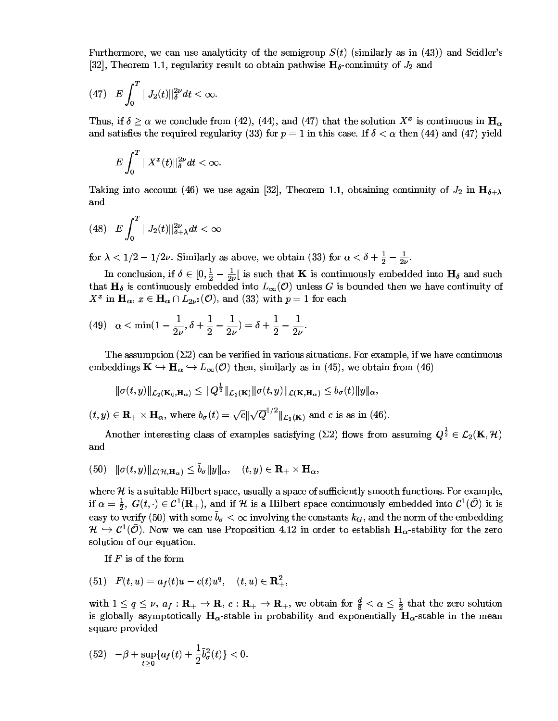Furthermore, we can use analyticity of the semigroup  $S(t)$  (similarly as in (43)) and Seidler's [32], Theorem 1.1, regularity result to obtain pathwise  $\mathbf{H}_{\delta}$ -continuity of  $J_2$  and

(47) 
$$
E \int_0^T ||J_2(t)||_{\delta}^{2\nu} dt < \infty.
$$

Thus, if  $\delta \geq \alpha$  we conclude from (42), (44), and (47) that the solution  $X^x$  is continuous in  $H_{\alpha}$ and satisfies the required regularity (33) for  $p = 1$  in this case. If  $\delta < \alpha$  then (44) and (47) yield

$$
E\int_0^T||X^x(t)||_{\delta}^{2\nu}dt<\infty.
$$

Taking into account (46) we use again [32], Theorem 1.1, obtaining continuity of  $J_2$  in  $\mathbf{H}_{\delta+\lambda}$ and

$$
(48)\quad E\int_0^T||J_2(t)||_{\delta+\lambda}^{2\nu}dt<\infty
$$

for  $\lambda < 1/2 - 1/2\nu$ . Similarly as above, we obtain (33) for  $\alpha < \delta + \frac{1}{2} - \frac{1}{2\nu}$ .

In conclusion, if  $\delta \in [0, \frac{1}{2} - \frac{1}{2\nu}]$  is such that **K** is continuously embedded into  $\mathbf{H}_{\delta}$  and such that  $H_{\delta}$  is continuously embedded into  $L_{\infty}(\mathcal{O})$  unless G is bounded then we have continuity of  $X^x$  in  $\mathbf{H}_{\alpha}$ ,  $x \in \mathbf{H}_{\alpha} \cap L_{2\nu^2}(\mathcal{O})$ , and (33) with  $p = 1$  for each

(49) 
$$
\alpha < \min(1 - \frac{1}{2\nu}, \delta + \frac{1}{2} - \frac{1}{2\nu}) = \delta + \frac{1}{2} - \frac{1}{2\nu}
$$

The assumption  $(\Sigma 2)$  can be verified in various situations. For example, if we have continuous embeddings  $\mathbf{K} \hookrightarrow \mathbf{H}_{\alpha} \hookrightarrow L_{\infty}(\mathcal{O})$  then, similarly as in (45), we obtain from (46)

$$
\|\sigma(t,y)\|_{\mathcal{L}_2(\mathbf{K}_0,\mathbf{H}_\alpha)} \leq \|Q^{\frac{1}{2}}\|_{\mathcal{L}_2(\mathbf{K})}\|\sigma(t,y)\|_{\mathcal{L}(\mathbf{K},\mathbf{H}_\alpha)} \leq b_\sigma(t)\|y\|_\alpha,
$$

 $(t, y) \in \mathbf{R}_{+} \times \mathbf{H}_{\alpha}$ , where  $b_{\sigma}(t) = \sqrt{c} \|\sqrt{Q}^{1/2}\|_{\mathcal{L}_2(\mathbf{K})}$  and c is as in (46).

Another interesting class of examples satisfying ( $\Sigma$ 2) flows from assuming  $Q^{\frac{1}{2}} \in \mathcal{L}_2(\mathbf{K}, \mathcal{H})$ and

(50) 
$$
\|\sigma(t,y)\|_{\mathcal{L}(\mathcal{H},\mathbf{H}_{\alpha})} \leq \tilde{b}_{\sigma} \|y\|_{\alpha}, \quad (t,y) \in \mathbf{R}_{+} \times \mathbf{H}_{\alpha},
$$

where  $H$  is a suitable Hilbert space, usually a space of sufficiently smooth functions. For example, if  $\alpha = \frac{1}{2}$ ,  $G(t, \cdot) \in C^1(\mathbf{R}_+)$ , and if H is a Hilbert space continuously embedded into  $C^1(\overline{\mathcal{O}})$  it is easy to verify (50) with some  $\tilde{b}_{\sigma} < \infty$  involving the constants  $k_G$ , and the norm of the embedding  $\mathcal{H} \hookrightarrow \mathcal{C}^1(\mathcal{O})$ . Now we can use Proposition 4.12 in order to establish  $H_{\alpha}$ -stability for the zero solution of our equation.

If  $F$  is of the form

$$
(51) \quad F(t,u) = a_f(t)u - c(t)u^q, \quad (t,u) \in \mathbf{R}_+^2,
$$

with  $1 \le q \le \nu$ ,  $a_f : \mathbf{R}_+ \to \mathbf{R}$ ,  $c : \mathbf{R}_+ \to \mathbf{R}_+$ , we obtain for  $\frac{d}{8} < \alpha \le \frac{1}{2}$  that the zero solution is globally asymptotically  $H_{\alpha}$ -stable in probability and exponentially  $H_{\alpha}$ -stable in the mean square provided

(52) 
$$
-\beta + \sup_{t \geq 0} \{ a_f(t) + \frac{1}{2} \tilde{b}^2_{\sigma}(t) \} < 0.
$$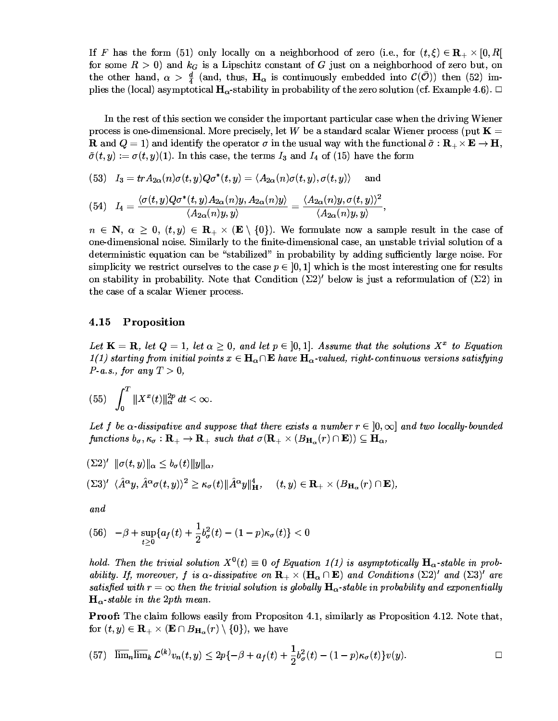If F has the form (51) only locally on a neighborhood of zero (i.e. for  $(t, \xi) \in \mathbf{R} \times [0, B]$ for some  $B > 0$  and  $k_{\mathcal{C}}$  is a Linschitz constant of G iust on a neighborhood of zero but on the other hand,  $\alpha > \frac{d}{2}$  (and, thus,  $H_{\alpha}$  is continuously embedded into  $\mathcal{C}(\overline{\mathcal{O}})$ ) then (52) implies the (local) asymptotical  $H_{\infty}$ -stability in probability of the zero solution (cf. Example 4.6).  $\Box$ 

Le the cent of this section and consider the introduced continuion cose onhom the defining Wilson of process is one-dimensional. More precisely let W be a standard scalar Wiener process (put  $\mathbf{K} =$ **R** and  $Q = 1$  and identify the operator  $\sigma$  in the usual way with the functional  $\tilde{\sigma} : \mathbf{R} \to \mathbf{F} \to \mathbf{H}$  $\tilde{\sigma}(t, y) := \sigma(t, y)(1)$  In this case, the terms  $I_2$  and  $I_4$  of (15) have the form

$$
(53)\quad I_3=trA_{2\alpha}(n)\sigma(t,y)Q\sigma^*(t,y)=\langle A_{2\alpha}(n)\sigma(t,y),\sigma(t,y)\rangle\quad \text{ and }\quad
$$

$$
(54)\quad I_4=\frac{\langle\sigma(t,y)Q\sigma^*(t,y)A_{2\alpha}(n)y,A_{2\alpha}(n)y\rangle}{\langle A_{2\alpha}(n)y,y\rangle}=\frac{\langle A_{2\alpha}(n)y,\sigma(t,y)\rangle^2}{\langle A_{2\alpha}(n)y,y\rangle},
$$

 $n \in \mathbb{N}$   $\alpha > 0$  (t y)  $\in \mathbb{R} \times (\mathbb{R} \setminus \{0\})$ . We formulate now a sample result in the case of one-dimensional noise. Similarly to the finite-dimensional case, an unstable trivial solution of a deterministic equation can be "stabilized" in probability by adding sufficiently large noise. For simplicity we restrict ourselves to the case  $n \in [0, 1]$  which is the most interesting one for results on stability in probability. Note that Condition  $(\Sigma 2)'$  below is just a reformulation of  $(\Sigma 2)$  in the case of a scalar Wiener process.<br>4.15 Proposition

Let  $\mathbf{K} = \mathbf{R}$  let  $\Omega = 1$  let  $\alpha > 0$  and let  $n \in [0, 1]$  Assume that the solutions  $X^x$  to Equation  $1(1)$  starting from initial points  $x \in \mathbf{H}$ ,  $\cap \mathbf{F}$  have  $\mathbf{H}$ , palued right-continuous versions satisfying  $P-a.s., for any T > 0,$ **William Communication** 

$$
(55)\quad \int_0^T \|X^x(t)\|_\alpha^{2p}\,dt < \infty.
$$

Let f be  $\alpha$ -dissinative and sunnose that there exists a number  $r \in [0,\infty]$  and two locally-bounded functions  $b_{\sigma}$ ,  $\kappa_{\sigma} : \mathbf{R}_{+} \to \mathbf{R}_{+}$  such that  $\sigma(\mathbf{R}_{+} \times (B_{\mathbf{H}} \cdot (r) \cap \mathbf{E})) \subseteq \mathbf{H}_{\alpha}$ .

 $\blacksquare$ 

$$
\begin{aligned} &\left(\Sigma 2\right)'\ \|\sigma(t,y)\|_{\alpha} \le b_{\sigma}(t)\|y\|_{\alpha},\\ &\left(\Sigma 3\right)'\ \langle\hat{A}^{\alpha}y,\hat{A}^{\alpha}\sigma(t,y)\rangle^{2} \ge \kappa_{\sigma}(t)\|\hat{A}^{\alpha}y\|_{\mathbf{H}}^{4},\quad \ (t,y)\in \mathbf{R}_{+}\times (B_{\mathbf{H}_{\alpha}}(r)\cap \mathbf{E}), \end{aligned}
$$

 $and$ 

$$
(56) \quad -\beta + \sup_{t \geq 0} \{ a_f(t) + \frac{1}{2} b_\sigma^2(t) - (1-p)\kappa_\sigma(t) \} < 0
$$

bold Then the trivial solution  $X^0(t) = 0$  of Equation 1(1) is asymptotically  $H_{\infty}$ -stable in probability If moreover f is  $\alpha$ -dissinative on  $\mathbf{R} \times (\mathbf{H} \cap \mathbf{E})$  and Conditions  $(\Sigma 2)'$  and  $(\Sigma 3)'$  are satisfied with  $r = \infty$  then the trivial solution is globally  $\mathbf{H}_{\alpha}$ -stable in probability and exponentially  $\mathbf{H}_{\alpha}$ -stable in the 2pth mean.

**Proof:** The claim follows easily from Propositon 4.1 similarly as Proposition 4.12. Note that for  $(t, y) \in \mathbf{R}_{\perp} \times (\mathbf{E} \cap B_{\mathbf{H}})(r) \setminus \{0\})$ , we have

$$
(57) \quad \overline{\lim}_{n} \overline{\lim}_{k} \mathcal{L}^{(k)} v_{n}(t,y) \leq 2p\{-\beta + a_{f}(t) + \frac{1}{2}b_{\sigma}^{2}(t) - (1-p)\kappa_{\sigma}(t)\} v(y). \qquad \qquad \Box
$$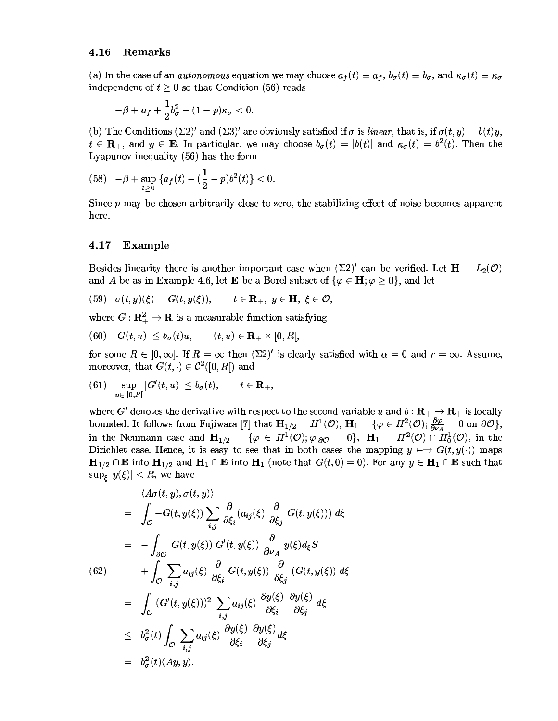## 4.16 Remarks

(a) In the case of an *autonomous* equation we may choose  $a_{\ell}(t) = a_{\ell}$ ,  $b_{\ell}(t) = b_{\ell}$  and  $\kappa_{\ell}(t) = \kappa_{\ell}$ .  $\ldots$   $\ldots$   $\ldots$   $\ldots$   $\ldots$   $\ldots$   $\ldots$   $\ldots$   $\ldots$   $\ldots$   $\ldots$   $\ldots$   $\ldots$   $\ldots$   $\ldots$ 

$$
-\beta + a_f + \frac{1}{2}b_\sigma^2 - (1-p)\kappa_\sigma < 0.
$$

(b) The Conditions  $(\Sigma 2)'$  and  $(\Sigma 3)'$  are obviously satisfied if  $\sigma$  is linear that is if  $\sigma(t, y) = b(t)y$  $t \in \mathbf{R}$ , and  $y \in \mathbf{E}$  In particular we may choose  $b_{-}(t) = |b(t)|$  and  $\kappa_{-}(t) = b^{2}(t)$ . Then the  $\mathbf{r}$  ,  $\mathbf{r}$  ,  $\mathbf{r}$  ,  $\mathbf{r}$  ,  $\mathbf{r}$  ,  $\mathbf{r}$  ,  $\mathbf{r}$  ,  $\mathbf{r}$  ,  $\mathbf{r}$  ,  $\mathbf{r}$  ,  $\mathbf{r}$  ,  $\mathbf{r}$  ,  $\mathbf{r}$  ,  $\mathbf{r}$  ,  $\mathbf{r}$  ,  $\mathbf{r}$  ,  $\mathbf{r}$  ,  $\mathbf{r}$  ,  $\mathbf{r}$  ,  $\mathbf{r}$  ,

$$
(58) \quad -\beta + \sup_{t\geq 0} \left\{ a_f(t) - (\frac{1}{2} - p)b^2(t) \right\} < 0.
$$

Since n may be chosen arbitrarily close to zero the stabilizing effect of noise becomes apparent 3--

# nore.<br>4.17 Example

Besides linearity there is another important case when  $(\Sigma 2)'$  can be verified Let  $H = L_2(\mathcal{O})$ and A be as in Example 4.6 let E be a Borel subset of  $\{\varphi \in \mathbf{H} : \varphi \geq 0\}$  and let

$$
(59)\quad \sigma(t,y)(\xi)=G(t,y(\xi)),\qquad t\in\mathbf{R}_+,\,\,y\in\mathbf{H},\,\,\xi\in\mathcal{O},
$$

where  $C \cdot \mathbf{R}^2 \to \mathbf{R}$  is a measurable function satisfying

$$
(60)\quad |G(t,u)|\le b_\sigma(t)u,\qquad (t,u)\in \mathbf{R}_+\times [0,R[,
$$

for some  $B \in [0, \infty]$  If  $B = \infty$  then  $(\Sigma 2)'$  is clearly satisfied with  $\alpha = 0$  and  $r = \infty$ . Assume moreover that  $G(t) \in C^2([0, R])$  and

 $(61) \quad \sup_{u \in [0, B]} |G'(t, u)|$  $|G'(t, u)| < h_-(t)$   $t \in \mathbf{R}$ 

where  $C^{l}$  denotes the derivative with regnest to the second variable  $u$  and  $b \cdot \mathbf{D} \rightarrow \mathbf{D}$  is locally bounded It follows from Fujiwara [7] that  $\mathbf{H}_{1/2} = H^1(\mathcal{O})$   $\mathbf{H}_1 = \{ \varphi \in H^2(\mathcal{O}) \colon \frac{\partial \varphi}{\partial t} = 0 \text{ on } \mathcal{O} \}$  $\frac{\partial \varphi}{\partial u} = 0$  on  $\partial \mathcal{O}$ , in the Neumann case and  $H_{1/2} = {\varphi \in H^1(\mathcal{O})}$ ;  $\varphi_{\partial \mathcal{O}} = 0$ ,  $H_1 = H^2(\mathcal{O}) \cap H_0^1(\mathcal{O})$ , in the Dirichlet case. Hence it is easy to see that in both cases the manning  $u \mapsto G(t, u(\cdot))$  mans  $H_{1/2} \cap \mathbf{E}$  into  $\mathbf{H}_{1/2}$  and  $\mathbf{H}_2 \cap \mathbf{E}$  into  $\mathbf{H}_3$  (note that  $G(t, 0) = 0$ ). For any  $y \in \mathbf{H}_3 \cap \mathbf{E}$  such that  $\sinh^{-1} u(f)$   $\leq R$  we have

$$
\langle A\sigma(t, y), \sigma(t, y) \rangle
$$
\n
$$
= \int_{\mathcal{O}} -G(t, y(\xi)) \sum_{i,j} \frac{\partial}{\partial \xi_i} (a_{ij}(\xi) \frac{\partial}{\partial \xi_j} G(t, y(\xi))) d\xi
$$
\n
$$
= -\int_{\partial \mathcal{O}} G(t, y(\xi)) G'(t, y(\xi)) \frac{\partial}{\partial \nu_A} y(\xi) d_{\xi} S
$$
\n(62)\n
$$
+ \int_{\mathcal{O}} \sum_{i,j} a_{ij}(\xi) \frac{\partial}{\partial \xi_i} G(t, y(\xi)) \frac{\partial}{\partial \xi_j} (G(t, y(\xi)) d\xi
$$
\n
$$
= \int_{\mathcal{O}} (G'(t, y(\xi)))^2 \sum_{i,j} a_{ij}(\xi) \frac{\partial y(\xi)}{\partial \xi_i} \frac{\partial y(\xi)}{\partial \xi_j} d\xi
$$
\n
$$
\leq b_{\sigma}^2(t) \int_{\mathcal{O}} \sum_{i,j} a_{ij}(\xi) \frac{\partial y(\xi)}{\partial \xi_i} \frac{\partial y(\xi)}{\partial \xi_j} d\xi
$$
\n
$$
= b_{\sigma}^2(t) \langle Ay, y \rangle.
$$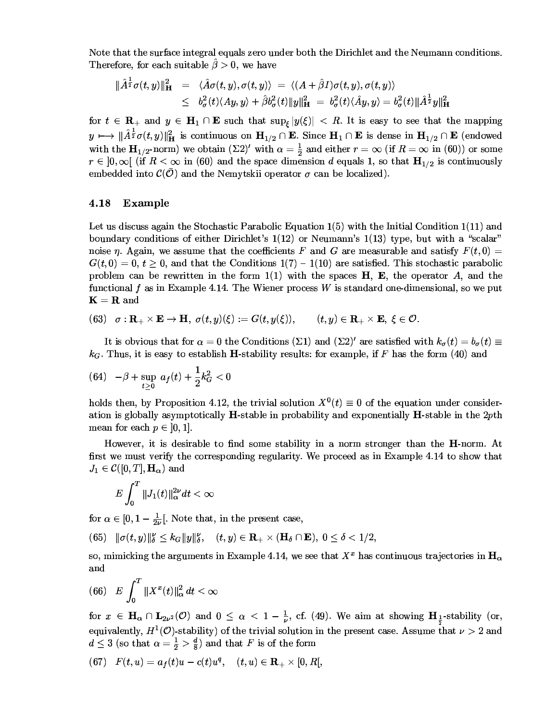Note that the surface integral equals zero under both the Dirichlet and the Neumann conditions. Therefore, for each suitable  $\hat{\beta} > 0$ , we have

$$
\begin{array}{rcl}\|\hat{A}^{\frac{1}{2}}\sigma(t,y)\|_{\mathbf{H}}^{2}&=&\langle\hat{A}\sigma(t,y),\sigma(t,y)\rangle\;=\;\langle(A+\hat{\beta}I)\sigma(t,y),\sigma(t,y)\rangle\\&\leq&b^{2}_{\sigma}(t)\langle Ay,y\rangle+\hat{\beta}b^{2}_{\sigma}(t)\|y\|_{\mathbf{H}}^{2}&=&b^{2}_{\sigma}(t)\langle\hat{A}y,y\rangle=b^{2}_{\sigma}(t)\|\hat{A}^{\frac{1}{2}}y\|_{\mathbf{H}}^{2}\end{array}
$$

for  $t \in \mathbf{R}_+$  and  $y \in \mathbf{H}_1 \cap \mathbf{E}$  such that  $\sup_{\xi} |y(\xi)| < R$ . It is easy to see that the mapping  $y \mapsto \|\hat{A}^{\frac{1}{2}}\sigma(t,y)\|_{\mathbf{H}}^2$  is continuous on  $\mathbf{H}_{1/2} \cap \mathbf{E}$ . Since  $\mathbf{H}_1 \cap \mathbf{E}$  is dense in  $\mathbf{H}_{1/2} \cap \mathbf{E}$  (endowed with the  $\mathbf{H}_{1/2}$ -norm) we obtain  $(\Sigma 2)'$  with  $\alpha = \frac{1}{2}$  and either  $r = \infty$  (if  $R = \infty$  in (60)) or some  $r \in ]0,\infty[$  (if  $R < \infty$  in (60) and the space dimension d equals 1, so that  $H_{1/2}$  is continuously embedded into  $\mathcal{C}(\mathcal{O})$  and the Nemytskii operator  $\sigma$  can be localized).

#### 4.18 **Example**

Let us discuss again the Stochastic Parabolic Equation  $1(5)$  with the Initial Condition  $1(11)$  and boundary conditions of either Dirichlet's  $1(12)$  or Neumann's  $1(13)$  type, but with a "scalar" noise  $\eta$ . Again, we assume that the coefficients F and G are measurable and satisfy  $F(t,0)$  =  $G(t,0)=0, t\geq 0$ , and that the Conditions  $1(7) - 1(10)$  are satisfied. This stochastic parabolic problem can be rewritten in the form  $1(1)$  with the spaces **H**, **E**, the operator A, and the functional f as in Example 4.14. The Wiener process W is standard one-dimensional, so we put  $K = R$  and

(63)  $\sigma: \mathbf{R}_{+} \times \mathbf{E} \to \mathbf{H}, \sigma(t, y)(\xi) := G(t, y(\xi)), \quad (t, y) \in \mathbf{R}_{+} \times \mathbf{E}, \ \xi \in \mathcal{O}.$ 

It is obvious that for  $\alpha = 0$  the Conditions ( $\Sigma$ 1) and ( $\Sigma$ 2)' are satisfied with  $k_{\sigma}(t) = b_{\sigma}(t) \equiv$  $k_G$ . Thus, it is easy to establish **H**-stability results: for example, if F has the form (40) and

(64) 
$$
-\beta + \sup_{t \geq 0} a_f(t) + \frac{1}{2}k_G^2 < 0
$$

holds then, by Proposition 4.12, the trivial solution  $X^0(t) \equiv 0$  of the equation under consideration is globally asymptotically  $H$ -stable in probability and exponentially  $H$ -stable in the 2pth mean for each  $p \in ]0,1]$ .

However, it is desirable to find some stability in a norm stronger than the **H**-norm. At first we must verify the corresponding regularity. We proceed as in Example 4.14 to show that  $J_1 \in \mathcal{C}([0,T], \mathbf{H}_{\alpha})$  and

$$
E\int_0^T\|J_1(t)\|_\alpha^{2\nu}dt<\infty
$$

for  $\alpha \in [0, 1-\frac{1}{2\nu}]$ . Note that, in the present case,

(65)  $\|\sigma(t, y)\|_{\delta}^{\nu} \leq k_G \|y\|_{\delta}^{\nu}, \quad (t, y) \in \mathbf{R}_{+} \times (\mathbf{H}_{\delta} \cap \mathbf{E}), \ 0 \leq \delta \leq 1/2,$ 

so, mimicking the arguments in Example 4.14, we see that  $X^x$  has continuous trajectories in  $H_{\alpha}$ and

(66) 
$$
E \int_0^T \|X^x(t)\|_{\alpha}^2 dt < \infty
$$

for  $x \in \mathbf{H}_{\alpha} \cap \mathbf{L}_{2\nu^2}(\mathcal{O})$  and  $0 \leq \alpha < 1 - \frac{1}{\nu}$ , cf. (49). We aim at showing  $\mathbf{H}_{\frac{1}{\nu}}$ -stability (or, equivalently,  $H^1(\mathcal{O})$ -stability) of the trivial solution in the present case. Assume that  $\nu > 2$  and  $d \leq 3$  (so that  $\alpha = \frac{1}{2} > \frac{d}{8}$ ) and that F is of the form

(67) 
$$
F(t, u) = a_f(t)u - c(t)u^q
$$
,  $(t, u) \in \mathbb{R}_+ \times [0, R]$ ,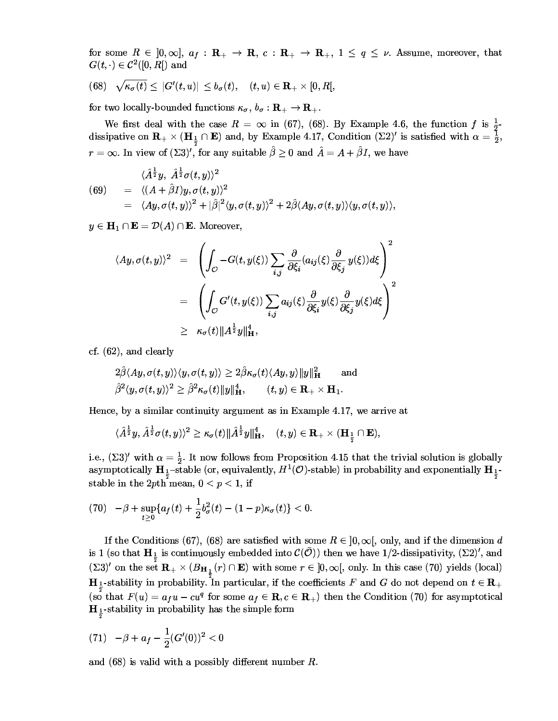for some  $R \in [0,\infty], a_f : \mathbf{R}_+ \to \mathbf{R}, c : \mathbf{R}_+ \to \mathbf{R}_+, 1 \le q \le \nu$ . Assume, moreover, that  $G(t, \cdot) \in \mathcal{C}^2([0,R])$  and

(68) 
$$
\sqrt{\kappa_{\sigma}(t)} \leq |G'(t, u)| \leq b_{\sigma}(t), \quad (t, u) \in \mathbf{R}_{+} \times [0, R],
$$

for two locally-bounded functions  $\kappa_{\sigma}$ ,  $b_{\sigma} : \mathbf{R}_{+} \to \mathbf{R}_{+}$ .

We first deal with the case  $R = \infty$  in (67), (68). By Example 4.6, the function  $f$  is  $\frac{1}{2}$ -<br>dissipative on  $\mathbf{R}_{+} \times (\mathbf{H}_{\frac{1}{2}} \cap \mathbf{E})$  and, by Example 4.17, Condition ( $\Sigma$ 2)' is satisfied with  $\alpha = \frac{1}{2}$ ,  $r = \infty$ . In view of  $(\Sigma 3)'$ , for any suitable  $\hat{\beta} \ge 0$  and  $\hat{A} = A + \hat{\beta}I$ , we have

(69) 
$$
\langle \hat{A}^{\frac{1}{2}}y, \ \hat{A}^{\frac{1}{2}}\sigma(t, y) \rangle^{2}
$$
  
\n
$$
= \langle (A + \hat{\beta}I)y, \sigma(t, y) \rangle^{2}
$$
  
\n
$$
= \langle Ay, \sigma(t, y) \rangle^{2} + |\hat{\beta}|^{2} \langle y, \sigma(t, y) \rangle^{2} + 2\hat{\beta} \langle Ay, \sigma(t, y) \rangle \langle y, \sigma(t, y) \rangle
$$

 $y \in \mathbf{H}_1 \cap \mathbf{E} = \mathcal{D}(A) \cap \mathbf{E}$ . Moreover,

$$
\langle Ay, \sigma(t, y) \rangle^{2} = \left( \int_{\mathcal{O}} -G(t, y(\xi)) \sum_{i,j} \frac{\partial}{\partial \xi_{i}} (a_{ij}(\xi) \frac{\partial}{\partial \xi_{j}} y(\xi)) d\xi \right)^{2}
$$
  

$$
= \left( \int_{\mathcal{O}} G'(t, y(\xi)) \sum_{i,j} a_{ij}(\xi) \frac{\partial}{\partial \xi_{i}} y(\xi) \frac{\partial}{\partial \xi_{j}} y(\xi) d\xi \right)^{2}
$$
  

$$
\geq \kappa_{\sigma}(t) \| A^{\frac{1}{2}} y \|_{\mathbf{H}}^{4},
$$

 $cf. (62)$ , and clearly

$$
\begin{aligned} &2\hat{\beta}\langle Ay, \sigma(t,y)\rangle\langle y, \sigma(t,y)\rangle\geq 2\hat{\beta}\kappa_{\sigma}(t)\langle Ay,y\rangle\|y\|_{\mathbf{H}}^2\qquad\text{and}\\ &\hat{\beta}^2\langle y, \sigma(t,y)\rangle^2\geq \hat{\beta}^2\kappa_{\sigma}(t)\|y\|_{\mathbf{H}}^4,\qquad (t,y)\in\mathbf{R}_+\times\mathbf{H}_1.\end{aligned}
$$

Hence, by a similar continuity argument as in Example 4.17, we arrive at

$$
\langle \hat{A}^{\frac{1}{2}}y, \hat{A}^{\frac{1}{2}}\sigma(t,y)\rangle^2\geq \kappa_\sigma(t)\Vert \hat{A}^{\frac{1}{2}}y\Vert_{\mathbf{H}}^4,\quad (t,y)\in \mathbf{R}_+\times (\mathbf{H}_{\frac{1}{2}}\cap \mathbf{E}),
$$

i.e.,  $(\Sigma 3)'$  with  $\alpha = \frac{1}{2}$ . It now follows from Proposition 4.15 that the trivial solution is globally asymptotically  $\mathbf{H}_{\frac{1}{2}}$ -stable (or, equivalently,  $H^1(\mathcal{O})$ -stable) in probability and exponentially  $\mathbf{H}_{\frac{1}{2}}$ stable in the 2pth mean,  $0 < p < 1$ , if

(70) 
$$
-\beta + \sup_{t\geq 0} \{ a_f(t) + \frac{1}{2} b_\sigma^2(t) - (1-p)\kappa_\sigma(t) \} < 0.
$$

If the Conditions (67), (68) are satisfied with some  $R \in ]0,\infty[$ , only, and if the dimension d is 1 (so that  $\mathbf{H}_{\frac{1}{2}}$  is continuously embedded into  $\mathcal{C}(\overline{\mathcal{O}})$ ) then we have 1/2-dissipativity,  $(\Sigma 2)'$ , and  $(\Sigma 3)'$  on the set  $\mathbf{R}_{+} \times (B_{\mathbf{H}_{\frac{1}{2}}}(r) \cap \mathbf{E})$  with some  $r \in ]0, \infty[$ , only. In this case (70) yields (local)  $\mathbf{H}_{\frac{1}{2}}$ -stability in probability. In particular, if the coefficients F and G do not depend on  $t \in \mathbf{R}_{+}$ (so that  $F(u) = a_f u - cu^q$  for some  $a_f \in \mathbf{R}, c \in \mathbf{R}_+$ ) then the Condition (70) for asymptotical  $\mathbf{H}_{\frac{1}{2}}$ -stability in probability has the simple form

(71) 
$$
-\beta + a_f - \frac{1}{2}(G'(0))^2 < 0
$$

and  $(68)$  is valid with a possibly different number R.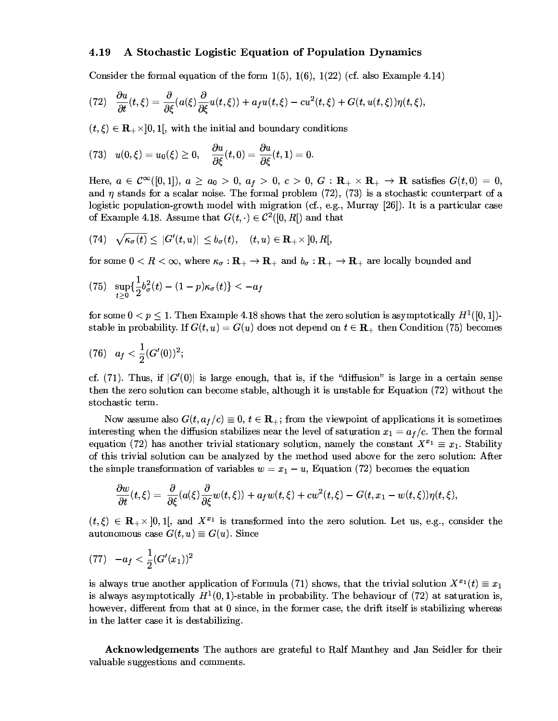## 4.19 . A Stochastic Logistic Equation of Population Dynamics

Consider the formal equation of the form  $1(5)$   $1(6)$   $1(22)$  (cf. also Example 4.14)

$$
(72)\quad \frac{\partial u}{\partial t}(t,\xi)=\frac{\partial}{\partial \xi}(a(\xi)\frac{\partial}{\partial \xi}u(t,\xi))+a_{f}u(t,\xi)-cu^{2}(t,\xi)+G(t,u(t,\xi))\eta(t,\xi),
$$

 $(t, \xi) \in \mathbf{R}_{+} \times 0$  1 with the initial and boundary conditions

$$
(73)\quad u(0,\xi)=u_0(\xi)\geq 0,\quad \frac{\partial u}{\partial \xi}(t,0)=\frac{\partial u}{\partial \xi}(t,1)=0.
$$

Here  $a \in \mathcal{C}^{\infty}([0,1])$   $a \ge a_0 > 0$   $a_1 > 0$   $c > 0$   $G \cdot \mathbf{R} \rightarrow \mathbf{R}$  satisfies  $G(t,0) = 0$  and *n* stands for a scalar noise. The formal problem  $(72)$   $(73)$  is a stochastic counterpart of a  $\alpha$  logistic population-growth model with migration (cf. e.g. Murray [26]). It is a particular case of Example 4.18. Assume that  $G(t) \in C^2([0, R])$  and that

$$
(74)\quad \sqrt{\kappa_{\sigma}(t)}\leq\ |G'(t,u)|\ \leq b_{\sigma}(t),\quad (t,u)\in \mathbf{R}_{+}\times ]0,R[ ,
$$

for some  $0 < B < \infty$  where  $\kappa_{-} : \mathbf{R}_{+} \to \mathbf{R}_{+}$  and  $h_{-} : \mathbf{R}_{+} \to \mathbf{R}_{+}$  are locally bounded and

$$
(75)\ \ \sup_{t\geq 0}\{\frac{1}{2}b_{\sigma}^2(t)-(1-p)\kappa_{\sigma}(t)\}< -a_f
$$

for some  $0 < n \leq 1$  Then Example 4.18 shows that the zero solution is asymptotically  $H^1([0, 1])$ . stable in probability If  $G(t, u) = G(u)$  does not depend on  $t \in \mathbf{R}$ , then Condition (75) becomes

$$
(76)\quad a_f<\frac{1}{2}(G'(0))^2;
$$

of (71) Thus if  $|G'(0)|$  is large enough that is if the "diffusion" is large in a certain sense then the zero solution can become stable, although it is unstable for Equation (72) without the stochastic term

Now assume also  $G(t, a_*)/c = 0$ ,  $t \in \mathbb{R}$  is from the viewpoint of applications it is sometimes interesting when the diffusion stabilizes near the level of saturation  $x_1 = a_4/c$  Then the formal equation (72) has another trivial stationary solution, namely the constant  $X^{x_1} = x_1$ . Stability of this toirial solution gan be analyzed by the method weed above fan the zone solution. After the simple transformation of variables  $w = x_1 - u$  Fountion (72) becomes the equation

$$
\frac{\partial w}{\partial t}(t,\xi)=\,\frac{\partial}{\partial \xi}(a(\xi)\frac{\partial}{\partial \xi}w(t,\xi))+a_fw(t,\xi)+cw^2(t,\xi)-G(t,x_1-w(t,\xi))\eta(t,\xi),
$$

 $(t, \xi) \in \mathbb{R} \times [0, 1]$  and  $X^{x_1}$  is transformed into the zero solution. Let us e.g. consider the autonomous case  $G(t, u) = G(u)$ . Since

$$
(77) \quad -a_f < \frac{1}{2} (G'(x_1))^2
$$

is always true another application of Formula (71) shows that the trivial solution  $X^{x_1}(t) = x_1$ is always asymptotically  $H^1(0, 1)$ -stable in probability. The behaviour of (72) at saturation is however different from that at 0 since in the former case, the drift itself is stabilizing whereas in the latter case it is destabilizing. The latter

Acknowledgements The authors are grateful to Balf Manthey and Jan Seidler for their valuable suggestions and comments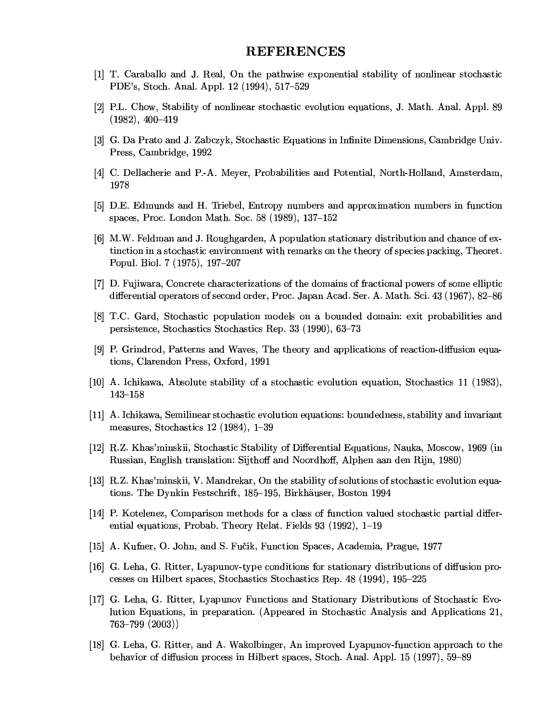## **REFERENCES**

- [1] T. Caraballo and J. Real, On the pathwise exponential stability of nonlinear stochastic PDE's, Stoch. Anal. Appl. 12 (1994), 517–529
- [2] P.L. Chow, Stability of nonlinear stochastic evolution equations, J. Math. Anal. Appl. 89  $(1982), 400-419$
- [3] G. Da Prato and J. Zabczyk, Stochastic Equations in Infinite Dimensions, Cambridge Univ. Press, Cambridge, 1992
- [4] C. Dellacherie and P.-A. Meyer, Probabilities and Potential, North-Holland, Amsterdam, 1978
- [5] D.E. Edmunds and H. Triebel, Entropy numbers and approximation numbers in function spaces, Proc. London Math. Soc. 58 (1989), 137–152
- [6] M.W. Feldman and J. Roughgarden, A population stationary distribution and chance of extinction in a stochastic environment with remarks on the theory of species packing, Theoret. Popul. Biol. 7 (1975), 197-207
- [7] D. Fujiwara, Concrete characterizations of the domains of fractional powers of some elliptic differential operators of second order, Proc. Japan Acad. Ser. A. Math. Sci. 43 (1967), 82–86
- [8] T.C. Gard, Stochastic population models on a bounded domain: exit probabilities and persistence, Stochastics Stochastics Rep. 33 (1990), 63-73
- [9] P. Grindrod, Patterns and Waves, The theory and applications of reaction-diffusion equations, Clarendon Press, Oxford, 1991
- [10] A. Ichikawa, Absolute stability of a stochastic evolution equation, Stochastics 11 (1983),  $143 - 158$
- [11] A. Ichikawa, Semilinear stochastic evolution equations: boundedness, stability and invariant measures, Stochastics  $12$  (1984),  $1-39$
- [12] R.Z. Khas'minskii, Stochastic Stability of Differential Equations, Nauka, Moscow, 1969 (in Russian, English translation: Sijthoff and Noordhoff, Alphen aan den Rijn, 1980)
- [13] R.Z. Khas'minskii, V. Mandrekar, On the stability of solutions of stochastic evolution equations. The Dynkin Festschrift, 185–195, Birkhäuser, Boston 1994
- [14] P. Kotelenez, Comparison methods for a class of function valued stochastic partial differential equations, Probab. Theory Relat. Fields 93 (1992), 1-19
- [15] A. Kufner, O. John, and S. Fučik, Function Spaces, Academia, Prague, 1977
- [16] G. Leha, G. Ritter, Lyapunov-type conditions for stationary distributions of diffusion processes on Hilbert spaces, Stochastics Stochastics Rep. 48 (1994), 195–225
- [17] G. Leha, G. Ritter, Lyapunov Functions and Stationary Distributions of Stochastic Evolution Equations, in preparation. (Appeared in Stochastic Analysis and Applications 21,  $763 - 799$   $(2003)$
- [18] G. Leha, G. Ritter, and A. Wakolbinger, An improved Lyapunov-function approach to the behavior of diffusion process in Hilbert spaces, Stoch. Anal. Appl. 15 (1997), 59–89